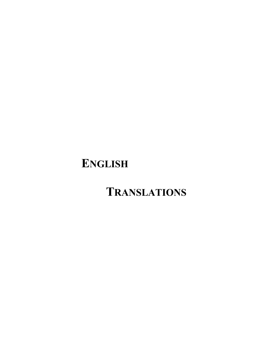# **ENGLISH**

# **TRANSLATIONS**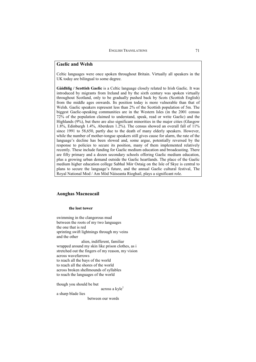# **Gaelic and Welsh**

Celtic languages were once spoken throughout Britain. Virtually all speakers in the UK today are bilingual to some degree.

**Gàidhlig / Scottish Gaelic** is a Celtic language closely related to Irish Gaelic. It was introduced by migrants from Ireland and by the sixth century was spoken virtually throughout Scotland, only to be gradually pushed back by Scots (Scottish English) from the middle ages onwards. Its position today is more vulnerable than that of Welsh. Gaelic speakers represent less than 2% of the Scottish population of 5m. The biggest Gaelic-speaking communities are in the Western Isles (in the 2001 census 72% of the population claimed to understand, speak, read or write Gaelic) and the Highlands (9%), but there are also significant minorities in the major cities (Glasgow 1.8%, Edinburgh 1.4%, Aberdeen 1.2%). The census showed an overall fall of 11% since 1991 to 58,650, partly due to the death of many elderly speakers. However, while the number of mother-tongue speakers still gives cause for alarm, the rate of the language's decline has been slowed and, some argue, potentially reversed by the response to policies to secure its position, many of them implemented relatively recently. These include funding for Gaelic medium education and broadcasting. There are fifty primary and a dozen secondary schools offering Gaelic medium education, plus a growing urban demand outside the Gaelic heartlands. The place of the Gaelic medium higher education college Sabhal Mòr Ostaig on the Isle of Skye is central to plans to secure the language's future, and the annual Gaelic cultural festival, The Royal National Mod / Am Mòd Nàiseanta Rioghail, plays a significant role.

# **Aonghas Macneacail**

## **the lost tower**

swimming in the clangorous mud between the roots of my two languages the one that is red sprinting swift lightnings through my veins and the other alien, indifferent, familiar wrapped around my skin like prison clothes, as i stretched out the fingers of my reason, my vision across wavefurrows to reach all the bays of the world to reach all the shores of the world across broken shellmounds of syllables to reach the languages of the world

though you should be but

across a kyle<sup>1</sup>

a sharp blade lies

between our words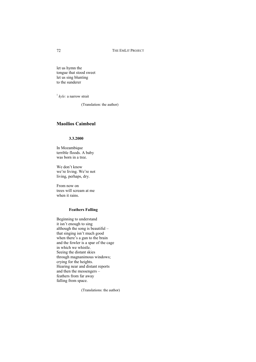let us hymn the tongue that stood sweet let us sing blunting to the sunderer

<sup>1</sup> kyle: a narrow strait

(Translation: the author)

# **Maoilios Caimbeul**

#### **3.3.2000**

In Mozambique terrible floods. A baby was born in a tree.

We don't know we're living. We're not living, perhaps, dry.

From now on trees will scream at me when it rains.

#### **Feathers Falling**

Beginning to understand it isn't enough to sing although the song is beautiful – that singing isn't much good when there's a gun to the brain and the fowler is a spar of the cage in which we whistle. Seeing the distant skies through magnanimous windows; crying for the heights. Hearing near and distant reports and then the messengers – feathers from far away falling from space.

(Translations: the author)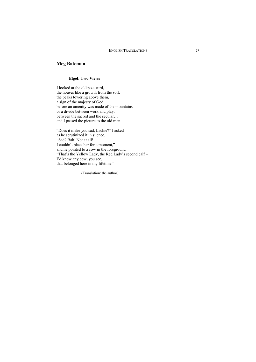# **Meg Bateman**

#### **Elgol: Two Views**

I looked at the old post-card, the houses like a growth from the soil, the peaks towering above them, a sign of the majesty of God, before an amenity was made of the mountains, or a divide between work and play, between the sacred and the secular… and I passed the picture to the old man.

"Does it make you sad, Lachie?" I asked as he scrutinized it in silence. "Sad? Bah! Not at all! I couldn't place her for a moment," and he pointed to a cow in the foreground. "That's the Yellow Lady, the Red Lady's second calf – I'd know any cow, you see, that belonged here in my lifetime."

(Translation: the author)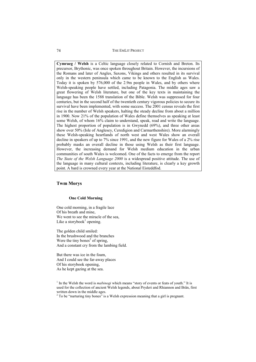**Cymraeg / Welsh** is a Celtic language closely related to Cornish and Breton. Its precursor, Brythonic, was once spoken throughout Britain. However, the incursions of the Romans and later of Angles, Saxons, Vikings and others resulted in its survival only in the western peninsula which came to be known to the English as Wales. Today it is spoken by 576,000 of the 2.9m people in Wales, and by others where Welsh-speaking people have settled, including Patagonia. The middle ages saw a great flowering of Welsh literature, but one of the key texts in maintaining the language has been the 1588 translation of the Bible. Welsh was suppressed for four centuries, but in the second half of the twentieth century vigorous policies to secure its survival have been implemented, with some success. The 2001 census reveals the first rise in the number of Welsh speakers, halting the steady decline from about a million in 1900. Now 21% of the population of Wales define themselves as speaking at least some Welsh, of whom 16% claim to understand, speak, read and write the language. The highest proportion of population is in Gwynedd (69%), and three other areas show over 50% (Isle of Anglesey, Ceredigion and Carmarthenshire). More alarmingly these Welsh-speaking heartlands of north west and west Wales show an overall decline in speakers of up to 7% since 1991, and the new figure for Wales of a 2% rise probably masks an overall decline in those using Welsh as their first language. However, the increasing demand for Welsh medium education in the urban communities of south Wales is welcomed. One of the facts to emerge from the report *The State of the Welsh Language 2000* is a widespread positive attitude. The use of the language in many cultural contexts, including literature, is clearly a key growth point. A bard is crowned every year at the National Eisteddfod.

## **Twm Morys**

#### **One Cold Morning**

One cold morning, in a fragile lace Of his breath and mine, We went to see the miracle of the sea. Like a storybook<sup>1</sup> opening.

The golden child smiled: In the brushwood and the branches Were the tiny bones<sup>2</sup> of spring, And a constant cry from the lambing field.

But there was ice in the foam, And I could see the far-away places Of his storybook opening, As he kept gazing at the sea.

 $2^2$  To be "nurturing tiny bones" is a Welsh expression meaning that a girl is pregnant.

<sup>&</sup>lt;sup>1</sup> In the Welsh the word is *mabinogi* which means "story of events or feats of youth." It is used for the collection of ancient Welsh legends, about Pryderi and Rhiannon and Brân, first written down in the middle ages.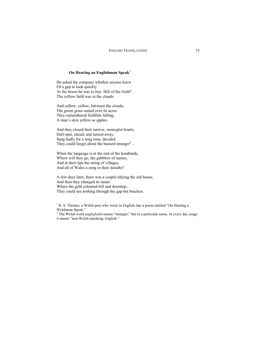# **On Hearing an Englishman Speak**<sup>1</sup>

He asked the company whether anyone knew Of a gap to look quickly At the house he was to buy: Hill of the Gold? The yellow field was in the clouds.

And yellow, yellow, between the clouds, The green grass rusted over its acres. They remembered fieldfuls falling, A man's skin yellow as apples.

And they closed their narrow, monoglot hearts, Half-spat, stared, and turned away, Sang badly for a long time, decided They could forget about the bastard stranger<sup>2</sup>...

When the language is at the end of the headlands, Where will they go, the gabblers of names, And at their lips the string of villages, And all of Wales a song in their mouths?

A few days later, there was a couple tidying the old house, And then they changed its name: Where the gold coloured hill and doorstep, They could see nothing through the gap but bracken.

 $<sup>1</sup>$  R. S. Thomas, a Welsh poet who wrote in English, has a poem entitled "On Hearing a</sup> Welshman Speak."

<sup>2</sup> The Welsh word *anghyfiaith* means "stranger," but in a particular sense. In every day usage it means "non-Welsh-speaking, English."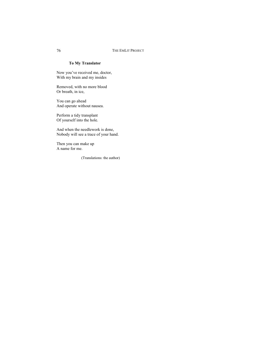## **To My Translator**

Now you've received me, doctor, With my brain and my insides

Removed, with no more blood Or breath, in ice,

You can go ahead And operate without nausea.

Perform a tidy transplant Of yourself into the hole.

And when the needlework is done, Nobody will see a trace of your hand.

Then you can make up A name for me.

(Translations: the author)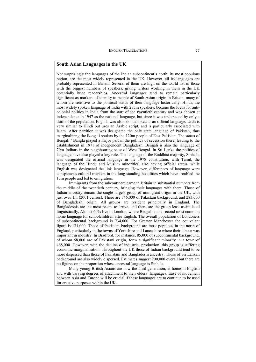Not surprisingly the languages of the Indian subcontinent's north, its most populous region, are the most widely represented in the UK. However, all its languages are probably represented in Britain. Several of them are high on the world list of those with the biggest numbers of speakers, giving writers working in them in the UK potentially huge readerships. Ancestral languages tend to remain particularly significant as markers of identity to people of South Asian origin in Britain, many of whom are sensitive to the political status of their language historically. Hindi, the most widely spoken language of India with 275m speakers, became the focus for anticolonial politics in India from the start of the twentieth century and was chosen at independence in 1947 as the national language, but since it was understood by only a third of the population, English was also soon adopted as an official language. Urdu is very similar to Hindi but uses an Arabic script, and is particularly associated with Islam. After partition it was designated the only state language of Pakistan, thus marginalizing the Bengali spoken by the 120m people of East Pakistan. The status of Bengali / Bangla played a major part in the politics of secession there, leading to the establishment in 1971 of independent Bangladesh. Bengali is also the language of 70m Indians in the neighbouring state of West Bengal. In Sri Lanka the politics of language have also played a key role. The language of the Buddhist majority, Sinhala, was designated the official language in the 1978 constitution, with Tamil, the language of the Hindu and Muslim minorities, also having official status, while English was designated the link language. However, differences of language were conspicuous cultural markers in the long-standing hostilities which have troubled the 17m people and led to emigration.

Immigrants from the subcontinent came to Britain in substantial numbers from the middle of the twentieth century, bringing their languages with them. Those of Indian ancestry remain the single largest group of immigrant origin in the UK, with just over 1m (2001 census). There are 746,000 of Pakistani background, and 283,000 of Bangladeshi origin. All groups are resident principally in England. The Bangladeshis are the most recent to arrive, and therefore the group least assimilated linguistically. Almost 60% live in London, where Bengali is the second most common home language for schoolchildren after English. The overall population of Londoners of subcontinental background is 734,000. For Greater Manchester the equivalent figure is 131,000. Those of Pakistani background are most populous in the north of England, particularly in the towns of Yorkshire and Lancashire where their labour was important in industry. In Bradford, for instance, 85,000 of subcontinental background, of whom 68,000 are of Pakistani origin, form a significant minority in a town of 468,000. However, with the decline of industrial production, this group is suffering economic marginalisation. Throughout the UK those of Indian background tend to be more dispersed than those of Pakistani and Bangladeshi ancestry. Those of Sri Lankan background are also widely dispersed. Estimates suggest 200,000 overall but there are no figures on the proportion whose ancestral language is Sinhala.

Many young British Asians are now the third generation, at home in English and with varying degrees of attachment to their elders' languages. Ease of movement between Asia and Europe will be crucial if these languages are to continue to be used for creative purposes within the UK.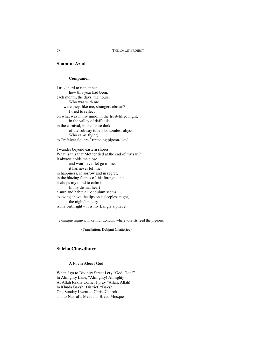# **Shamim Azad**

#### **Companion**

I tried hard to remember how this year had been: each month, the days, the hours. Who was with me and were they, like me, strangers abroad? I tried to reflect on what was in my mind, in the frost-filled night, in the valley of daffodils, in the carnival, in the dense dark of the subway tube's bottomless abyss. Who came flying to Trafalgar Square,<sup>1</sup> tiptoeing pigeon-like?

I wander beyond eastern shores. What is this that Mother tied at the end of my sari? It always holds me close and won't ever let go of me; it has never left me, in happiness, in sorrow and in regret, in the blazing flames of this foreign land, it clasps my mind to calm it. In my dismal heart a sure and habitual pendulum seems to swing above the lips on a sleepless night, the night's poetry is my birthright – it is my Bangla alphabet.

<sup>1</sup> Trafalgar Square: in central London, where tourists feed the pigeons.

(Translation: Debjani Chatterjee)

## **Saleha Chowdhury**

#### **A Poem About God**

When I go to Divinity Street I cry "God, God!" In Almighty Lane, "Almighty! Almighty!" At Allah Rakha Corner I pray "Allah, Allah!" In Khuda Baksh<sup>1</sup> District, "Baksh!" One Sunday I went to Christ Church and to Nazrul's Meat and Bread Mosque.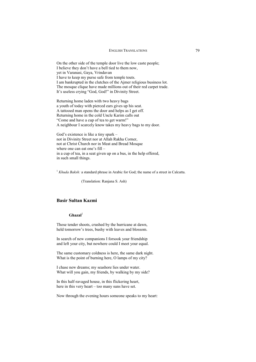On the other side of the temple door live the low caste people; I believe they don't have a bell tied to them now, yet in Varanasi, Gaya, Vrindavan I have to keep my purse safe from temple touts. I am bankrupted in the clutches of the Ajmer religious business lot. The mosque clique have made millions out of their red carpet trade. It's useless crying "God, God!" in Divinity Street.

Returning home laden with two heavy bags a youth of today with pierced ears gives up his seat. A tattooed man opens the door and helps as I get off. Returning home in the cold Uncle Karim calls out "Come and have a cup of tea to get warm!" A neighbour I scarcely know takes my heavy bags to my door.

God's existence is like a tiny spark – not in Divinity Street nor at Allah Rakha Corner, not at Christ Church nor in Meat and Bread Mosque where one can eat one's fill – in a cup of tea, in a seat given up on a bus, in the help offered, in such small things.

<sup>1</sup> *Khuda Baksh:* a standard phrase in Arabic for God; the name of a street in Calcutta.

(Translation: Ranjana S. Ash)

# **Basir Sultan Kazmi**

## Ghazal<sup>1</sup>

Those tender shoots, crushed by the hurricane at dawn, held tomorrow's trees, bushy with leaves and blossom.

In search of new companions I forsook your friendship and left your city, but nowhere could I meet your equal.

The same customary coldness is here, the same dark night. What is the point of burning here, O lamps of my city?

I chase new dreams; my seashore lies under water. What will you gain, my friends, by walking by my side?

In this half-ravaged house, in this flickering heart, here in this very heart – too many suns have set.

Now through the evening hours someone speaks to my heart: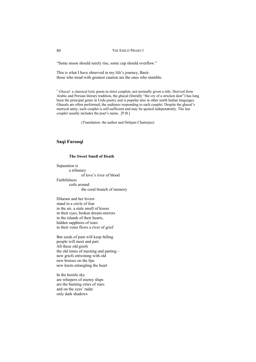"Some moon should surely rise, some cup should overflow."

This is what I have observed in my life's journey, Basir: those who tread with greatest caution are the ones who stumble.

<sup>1</sup> Ghazal: a classical lyric poem in strict couplets, not normally given a title. Derived from Arabic and Persian literary tradition, the ghazal (literally "the cry of a stricken deer") has long been the principal genre in Urdu poetry and is popular also in other north Indian languages. Ghazals are often performed, the audience responding to each couplet. Despite the ghazal's metrical unity, each couplet is self-sufficient and may be quoted independently. The last couplet usually includes the poet's name. [P.B.]

(Translation: the author and Debjani Chatterjee)

# **Saqi Farooqi**

#### **The Sweet Smell of Death**

Separation is

a tributary

of love's river of blood

Faithfulness

coils around the coral branch of memory

Dilaram and her lovers stand in a circle of fear in the air, a stale smell of kisses in their eyes, broken dream-mirrors in the islands of their hearts, hidden sapphires of tears in their veins flows a river of grief

But seeds of pain will keep falling people will meet and part All these old griefs the old times of meeting and parting – new griefs entwining with old new bruises on the lips new knots entangling the heart

In the hostile sky are whispers of enemy ships are the burning cities of stars and on the eyes' radar only dark shadows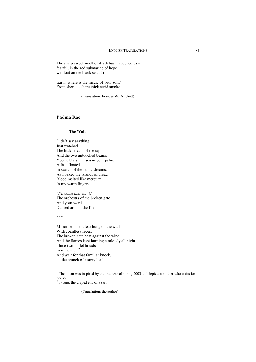The sharp sweet smell of death has maddened us – fearful, in the red submarine of hope we float on the black sea of ruin

Earth, where is the magic of your soil? From shore to shore thick acrid smoke

(Translation: Frances W. Pritchett)

# **Padma Rao**

## **The Wait**<sup>1</sup>

Didn't say anything. Just watched The little stream of the tap And the two untouched beams. You held a small sea in your palms. A face floated In search of the liquid dreams. As I baked the islands of bread Blood melted like mercury In my warm fingers.

"*I'll come and eat it*." The orchestra of the broken gate And your words Danced around the fire.

\*\*\*

Mirrors of silent fear hung on the wall With countless faces. The broken gate beat against the wind And the flames kept burning aimlessly all night. I hide two millet breads In my *anchal*<sup>2</sup> And wait for that familiar knock, … the crunch of a stray leaf.

<sup>1</sup> The poem was inspired by the Iraq war of spring 2003 and depicts a mother who waits for her son.

<sup>2</sup> anchal: the draped end of a sari.

(Translation: the author)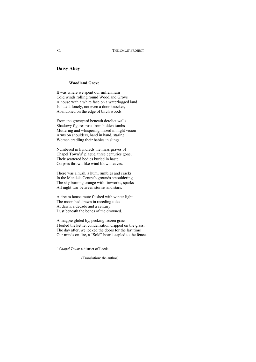# **Daisy Abey**

## **Woodland Grove**

It was where we spent our millennium Cold winds rolling round Woodland Grove A house with a white face on a waterlogged land Isolated, lonely, not even a door knocker, Abandoned on the edge of birch woods.

From the graveyard beneath derelict walls Shadowy figures rose from hidden tombs Muttering and whispering, hazed in night vision Arms on shoulders, hand in hand, staring Women cradling their babies in slings.

Numbered in hundreds the mass graves of Chapel Town's<sup>1</sup> plague, three centuries gone, Their scattered bodies buried in haste, Corpses thrown like wind blown leaves.

There was a hush, a hum, rumbles and cracks In the Mandela Centre's grounds smouldering The sky burning orange with fireworks, sparks All night war between storms and stars.

A dream house mute flushed with winter light The moon had drawn in receding tides At dawn, a decade and a century Dust beneath the bones of the drowned.

A magpie glided by, pecking frozen grass. I boiled the kettle, condensation dripped on the glass. The day after, we locked the doors for the last time Our minds on fire, a "Sold" board stapled to the fence.

<sup>1</sup> *Chapel Town*: a district of Leeds.

(Translation: the author)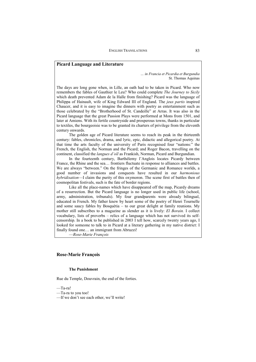## **Picard Language and Literature**

*… in Francia et Picardia et Burgundia*  St. Thomas Aquinas

The days are long gone when, in Lille, an oath had to be taken in Picard. Who now remembers the fables of Gauthier le Leu? Who could complete *The Journey to Sicily*  which death prevented Adam de la Halle from finishing? Picard was the language of Philippa of Hainault, wife of King Edward III of England. The *jeux partis* inspired Chaucer, and it is easy to imagine the dinners with poetry as entertainment such as those celebrated by the "Brotherhood of St. Candeille" at Arras. It was also in the Picard language that the great Passion Plays were performed at Mons from 1501, and later at Amiens. With its fertile countryside and prosperous towns, thanks in particular to textiles, the bourgeoisie was to be granted its charters of privilege from the eleventh century onwards.

The golden age of Picard literature seems to reach its peak in the thirteenth century: fables, chronicles, drama, and lyric, epic, didactic and allegorical poetry. At that time the arts faculty of the university of Paris recognised four "nations:" the French, the English, the Norman and the Picard; and Roger Bacon, travelling on the continent, classified the *langues d'oïl* as Frankish, Norman, Picard and Burgundian.

In the fourteenth century, Barthélemy l'Anglois locates Picardy between France, the Rhine and the sea… frontiers fluctuate in response to alliances and battles. We are always "between." On the fringes of the Germanic and Romance worlds, a good number of invasions and conquests have resulted in our *harmonious hybridisation*—I claim the purity of this oxymoron. The scene first of battles then of cosmopolitan festivals, such is the fate of border regions.

Like all the place-names which have disappeared off the map, Picardy dreams of a resurrection. But the Picard language is no longer used in public life (school, army, administration, tribunals). My four grandparents were already bilingual, educated in French. My father knew by heart some of the poetry of Henri Tournelle and some saucy fables by Bosquètia – to our great delight at family reunions. My mother still subscribes to a magazine as slender as it is lively: *El Borain.* I collect vocabulary, lists of proverbs – relics of a language which has not survived its selfcensorship. In a book to be published in 2003 I tell how, scarcely twenty years ago, I looked for someone to talk to in Picard at a literary gathering in my native district: I finally found one… an immigrant from Abruzzi!

—*Rose-Marie François*

## **Rose-Marie François**

## **The Punishment**

Rue du Temple, Douvrain, the end of the forties.

—Ta-ra!

<sup>—</sup>Ta-ra to you too!

<sup>—</sup>If we don't see each other, we'll write!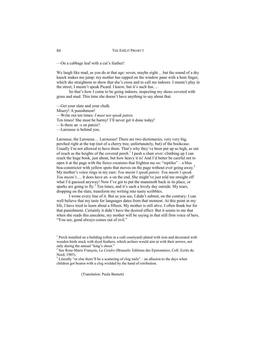—On a cabbage leaf with a cat's feather!

We laugh like mad, as you do at that age: seven, maybe eight... but the sound of a dry knock makes me jump: my mother has rapped on the window pane with a bent finger, which she straightens to show that she's cross and to call me indoors. I mustn't play in the street, I mustn't speak Picard. I know, but it's such fun….

So that's how I come to be going indoors, inspecting my shoes covered with grass and mud. This time she doesn't have anything to say about that.

—Get your slate and your chalk. Misery! A punishment! —Write out ten times: *I must not speak patois.*  Ten times! She must be barmy! I'll never get it done today! —Is there an -s on patois? —Larousse is behind you.

Larousse, the Larousse… Larousses! There are two dictionaries, very very big, perched right at the top (not of a cherry tree, unfortunately, but) of the bookcase. Usually I'm not allowed to have them. That's why they've been put up so high, as out of reach as the heights of the covered perch.<sup>1</sup> I push a chair over: climbing up I can reach the huge book, just about, but how heavy it is! And I'd better be careful not to open it at the page with the fierce creatures that frighten me so: "reptiles" – a blue boa-constrictor with yellow spots that moves on the page without ever going away.<sup>2</sup> My mother's voice rings in my ears: *You mustn't speak patois. You mustn't speak. You mustn't*…. It does have an -s on the end. She might've just told me straight off what I'd guessed anyway! Now I've got to put the mammoth back in its place, or sparks are going to fly. $3$  Ten times, and it's such a lovely day outside. My tears, dropping on the slate, transform my writing into nasty scribbles.

I wrote every line of it. But as you see, I didn't submit, on the contrary: I can well believe that my taste for languages dates from that moment. At this point in my life, I have tried to learn about a fifteen. My mother is still alive. I often thank her for that punishment. Certainly it didn't have the desired effect. But it seems to me that when she reads this anecdote, my mother will be saying in that still firm voice of hers, "You see, good always comes out of evil."

2 See Rose-Marie François, *La Cendre* (Brussels: Editions des Eperonniers, Coll. Ecrits du Nord, 1985).

 $3$  Literally "or else there'll be a scattering of clog nails" – an allusion to the days when children got beaten with a clog wielded by the hand of retribution.

(Translation: Paula Burnett)

 $1$  Perch installed on a building (often in a café courtyard) plated with iron and decorated with wooden birds stuck with dyed feathers, which archers would aim at with their arrows, not only during the annual "king's shoot."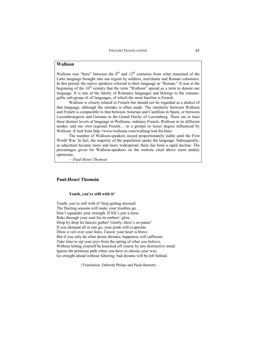## **Walloon**

Walloon was "born" between the  $8<sup>th</sup>$  and  $12<sup>th</sup>$  centuries from what remained of the Latin language brought into our region by soldiers, merchants and Roman colonisers. In this period, the native speakers referred to their language as "Roman." It was at the beginning of the 16<sup>th</sup> century that the term "Walloon" spread as a term to denote our language. It is one of the family of Romance languages and belongs to the romanogallic sub-group of *oïl* languages, of which the most familiar is French.

Walloon is closely related to French but should not be regarded as a dialect of that language, although the mistake is often made. The similarity between Walloon and French is comparable to that between Asturian and Castillian in Spain, or between Luxembourgeois and German in the Grand Duchy of Luxemburg. There are at least three distinct levels of language in Wallonia: ordinary French, Walloon in its different modes, and our own regional French… to a greater or lesser degree influenced by Walloon. (Cited from http://www/wallonie.com/wallang/wal-fra.htm)

The number of Walloon-speakers stayed proportionately stable until the First World War. In fact, the majority of the population spoke the language. Subsequently, as education became more and more widespread, there has been a rapid decline. The percentages given for Walloon-speakers on the website cited above seem unduly optimistic.

—*Paul-Henri Thomsin* 

## **Paul-Henri Thomsin**

#### **Youth, you're still with it!**

Youth, you're still with it! Stop getting stressed: The fleeting seasons will make your troubles go. Don't squander your strength. If life's just a mess Rake through your soul for its embers' glow. Drop by drop let fancies gather! Gently, there's no panic! If you demand all in one go, your pride will evaporate. Draw a veil over your fears, I know your heart is brave But if you only do what desire dictates, happiness will suffocate. Take time to sip your joys from the spring of what you believe, Without letting yourself be knocked off course by any destructive mind. Ignore the primrose path when you have to choose your way, Go straight ahead without faltering: bad dreams will be left behind.

(Translation: Deborah Philips and Paula Burnett)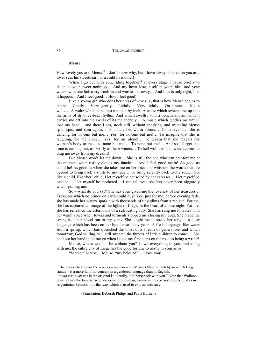#### **Meuse**

How lovely you are, Meuse!<sup>1</sup> I don't know why, but I have always looked on you as a lover sees his sweetheart, or a child its mother!

When I go out with you, riding together,<sup>2</sup> at every stage I pause briefly to listen to your sweet nothings… And my heart loses itself in your tides, and your waters with one lick carry troubles and worries far away… And I, as is only right, I let it happen… And I feel good… How I feel good!

Like a young girl who dons her dress of new silk, that is how Meuse begins to dance… Gently… Very gently… Lightly… Very lightly… On tiptoes… It's a waltz... A waltz which slips into me inch by inch. A waltz which sweeps me up into the arms of its three-beat rhythm. And which swells, with a nonchalant air, until it carries me off into the swirls of its melancholy… A music which giddies me until I lose my head… and there I am, stock still, without speaking, and watching Meuse spin, spin, and spin again… To inhale her warm scents… To believe that she is dancing for no-one but me… Yes, for no-one but me!… To imagine that she is laughing, for me alone… Yes, for me alone!… To dream that she reveals her woman's body to me… to none but me!… To none but me!… And so I forget that time is running out, as swiftly as these waters… To hell with this boat which comes to drag me away from my dreams!

But Meuse won't let me down… She is still the one who can comfort me at the moment when reality clouds my fancies… And I feel good again! As good as could be! As good as when she takes me on her knee and whispers the words that are needed to bring back a smile to my face… To bring serenity back to my soul… So, like a child, like "her" child, I let myself be consoled by her caresses… I let myself be cajoled… I let myself be mothered… I can tell you: she has never been niggardly when spoiling me.

So – what do you say? She has even given me the loveliest of her treasures… Treasures which no prince on earth could buy! Yes, just for me, before evening falls, she has made her waters sparkle with thousands of tiny glints from a red sun. For me, she has captured an image of the lights of Liège, in the heart of a blue night. For me, she has refreshed the afternoons of a suffocating July. She has sung me lullabies with her warm voice when fevers and torments stopped me closing my eyes. She made the strength of her blood run in my veins. She taught me to speak her tongue, a clear language which has been on her lips for so many years. A fresh language, like water from a spring, which has quenched the thirst of a stream of generations and which tomorrow, God willing, will still sweeten the throats of little children to come… She held out her hand to let me go when I took my first steps on the road to being a writer!

Meuse, where would I be without you? I owe everything to you, and along with me, the entire city of Liège has the good fortune to nestle in your arms.

"Mother" Meuse… Meuse, "my beloved"… I love you!

(Translation: Deborah Philips and Paula Burnett)

<sup>&</sup>lt;sup>1</sup> The personification of the river as a woman – the Meuse (Maas in Dutch) on which Liège stands – is a more familiar concept in a gendered language than in English.

<sup>&</sup>lt;sup>2</sup> a cabasse avou vos in the original is, literally, "on horseback with you." Note that Walloon does not use the familiar second-person pronoun, *tu,* except in the coarsest insults. Just as in Argentinian Spanish, it is the *vous* which is used to express intimacy.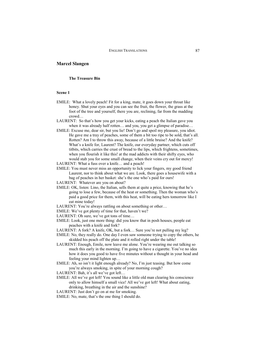# **Marcel Slangen**

#### **The Treasure Bin**

#### **Scene 1**

- EMILE: What a lovely peach! Fit for a king, mate, it goes down your throat like honey. Shut your eyes and you can see the fruit, the flower, the grass at the foot of the tree and yourself, there you are, reclining, far from the madding crowd…
- LAURENT: So that's how you get your kicks, eating a peach the Italian gave you when it was already half rotten… and you, you get a glimpse of paradise…
- EMILE: Excuse me, dear sir, but you lie! Don't go and spoil my pleasure, you idiot. He gave me a tray of peaches, some of them a bit too ripe to be sold, that's all. Rotten? Am I to throw this away, because of a little bruise? And the knife? What's a knife for, Laurent? The knife, our everyday partner, which cuts off titbits, which carries the crust of bread to the lips, which frightens, sometimes, when you flourish it like this! at the mad addicts with their shifty eyes, who would stab you for some small change, when their veins cry out for mercy!
- LAURENT: What a fuss over a knife… and a peach!
- EMILE: You must never miss an opportunity to lick your fingers, my good friend Laurent, nor to think about what we are. Look, there goes a housewife with a bag of peaches in her basket: she's the one who's paid for ours!
- LAURENT: Whatever are you on about?
- EMILE: OK, listen: Lino, the Italian, sells them at quite a price, knowing that he's going to lose a few, because of the heat or something. Then the woman who's paid a good price for them, with this heat, will be eating hers tomorrow like I eat mine today!
- LAURENT: You're always rattling on about something or other...
- EMILE: We've got plenty of time for that, haven't we?
- LAURENT: Oh sure, we've got tons of time…
- EMILE: Look, just one more thing: did you know that in posh houses, people eat peaches with a knife and fork?
- LAURENT: A fork? A knife, OK, but a fork… Sure you're not pulling my leg?
- EMILE: No, they really do. One day I even saw someone trying to copy the others, he skidded his peach off the plate and it rolled right under the table!
- LAURENT: Enough, Emile, now leave me alone. You're wearing me out talking so much this early in the morning. I'm going to have a cigarette. You've no idea how it does you good to have five minutes without a thought in your head and feeling your mind lighten up…
- EMILE: Ah, so isn't it light enough already? No, I'm just teasing. But how come you're always smoking, in spite of your morning cough?
- LAURENT: Bah, it's all we've got left...
- EMILE: All we've got left! You sound like a little old man clearing his conscience only to allow himself a small vice! All we've got left! What about eating, drinking, breathing in the air and the sunshine?
- LAURENT: Just don't go on at me for smoking.
- EMILE: No, mate, that's the one thing I should do.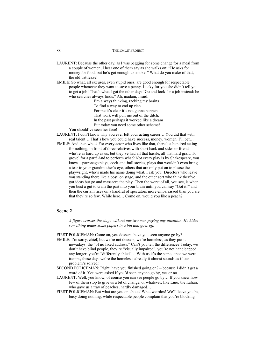- LAURENT: Because the other day, as I was begging for some change for a meal from a couple of women, I hear one of them say as she walks on: "He asks for money for food, but he's got enough to smoke!" What do you make of that, the old battleaxe!
- EMILE: So what, all excuses, even stupid ones, are good enough for respectable people whenever they want to save a penny. Lucky for you she didn't tell you to get a job! That's what I got the other day: "Go and look for a job instead: he who searches always finds." Ah, madam, I said:

I'm always thinking, racking my brains To find a way to end up rich. For me it's clear it's not gonna happen That work will pull me out of the ditch. In the past perhaps it worked like a dream But today you need some other scheme!

You should've seen her face!

- LAURENT: I don't know why you ever left your acting career… You did that with real talent… That's how you could have success, money, women, I'll bet…
- EMILE: And then what? For every actor who lives like that, there's a hundred acting for nothing, in front of three relatives with short back and sides or friends who're as hard up as us, but they've had all that hassle, all that hard graft. To grovel for a part! And to perform what? Not every play is by Shakespeare, you know – patronage plays, cock-and-bull stories, plays that wouldn't even bring a tear to your grandmother's eye, others that are only put on to please the playwright, who's made his name doing what, I ask you! Directors who leave you standing there like a post, on stage, and the other sort who think they've got ideas but go and massacre the play. Then the worst of all, you see, is when you bust a gut to cram the part into your brain until you can say "Got it!" and then the curtain rises on a handful of spectators more embarrassed than you are that they're so few. While here… Come on, would you like a peach?

# **Scene 2**

*A figure crosses the stage without our two men paying any attention. He hides something under some papers in a bin and goes off.* 

FIRST POLICEMAN: Come on, you dossers, have you seen anyone go by?

- EMILE: I'm sorry, chief, but we're not dossers, we're homeless, as they put it nowadays: the "of no fixed address." Can't you tell the difference? Today, we don't have blind people, they're "visually impaired", you're not handicapped any longer, you're "differently abled"… With us it's the same, once we were tramps, these days we're the homeless: already it almost sounds as if our problem's solved!
- SECOND POLICEMAN: Right, have you finished going on? because I didn't get a word of it. You were asked if you'd seen anyone go by, yes or no.
- LAURENT: Well, you know, of course you can see people go by… If you knew how few of them stop to give us a bit of change, or whatever, like Lino, the Italian, who gave us a tray of peaches, hardly damaged…
- FIRST POLICEMAN: But what are you on about? What weirdos! We'll leave you be, busy doing nothing, while respectable people complain that you're blocking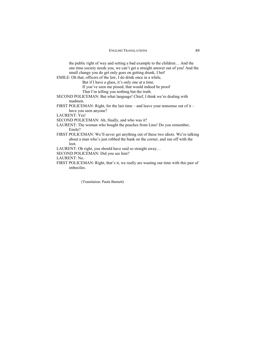the public right of way and setting a bad example to the children… And the one time society needs you, we can't get a straight answer out of you! And the small change you do get only goes on getting drunk, I bet!

- EMILE: Oh that, officers of the law, I do drink once in a while,
	- But if I have a glass, it's only one at a time.
		- If you've seen me pissed, that would indeed be proof
		- That I'm telling you nothing but the truth.
- SECOND POLICEMAN: But what language! Chief, I think we're dealing with madmen.
- FIRST POLICEMAN: Right, for the last time and leave your nonsense out of it have you seen anyone?
- LAURENT: Yes!
- SECOND POLICEMAN: Ah, finally, and who was it?
- LAURENT: The woman who bought the peaches from Lino! Do you remember, Emile?
- FIRST POLICEMAN: We'll never get anything out of these two idiots. We're talking about a man who's just robbed the bank on the corner, and run off with the loot.
- LAURENT: Oh right, you should have said so straight away…
- SECOND POLICEMAN: Did you see him?
- LAURENT: No.
- FIRST POLICEMAN: Right, that's it, we really are wasting our time with this pair of imbeciles.

(Translation: Paula Burnett)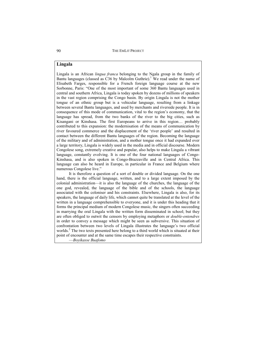# **Lingala**

Lingala is an African *lingua franca* belonging to the Ngala group in the family of Bantu languages (classed as  $C36$  by Malcolm Guthrie).<sup>1</sup> We read under the name of Elisabeth Farges, responsible for a French foreign language course at the new Sorbonne, Paris: "One of the most important of some 360 Bantu languages used in central and southern Africa, Lingala is today spoken by dozens of millions of speakers in the vast region comprising the Congo basin. By origin Lingala is not the mother tongue of an ethnic group but is a vehicular language, resulting from a linkage between several Bantu languages, and used by merchants and riverside people. It is in consequence of this mode of communication, vital to the region's economy, that the language has spread, from the two banks of the river to the big cities, such as Kisangani or Kinshasa. The first Europeans to arrive in this region… probably contributed to this expansion: the modernisation of the means of communication by river favoured commerce and the displacement of the 'river people' and resulted in contact between the different Bantu languages of the region. Becoming the language of the military and of administration, and a mother tongue once it had expanded over a large territory, Lingala is widely used in the media and in official discourse. Modern Congolese song, extremely creative and popular, also helps to make Lingala a vibrant language, constantly evolving. It is one of the four national languages of Congo-Kinshasa, and is also spoken in Congo-Brazzaville and in Central Africa. This language can also be heard in Europe, in particular in France and Belgium where numerous Congolese live."

It is therefore a question of a sort of double or divided language. On the one hand, there is the official language, written, and to a large extent imposed by the colonial administration—it is also the language of the churches, the language of the one god, revealed, the language of the bible and of the schools, the language associated with the coloniser and his constraints. Elsewhere, Lingala is also, for its speakers, the language of daily life, which cannot quite be translated at the level of the written in a language comprehensible to everyone, and it is under this heading that it forms the principal medium of modern Congolese music, the singers often succeeding in marrying the oral Lingala with the written form disseminated in school; but they are often obliged to outwit the censors by employing metaphors or *double-entendres*  in order to convey a message which might be seen as subversive. This situation of confrontation between two levels of Lingala illustrates the language's two official worlds.<sup>2</sup> The two texts presented here belong to a third world which is situated at their point of encounter and at the same time escapes their respective constraints.

—*Boyikasse Buafomo*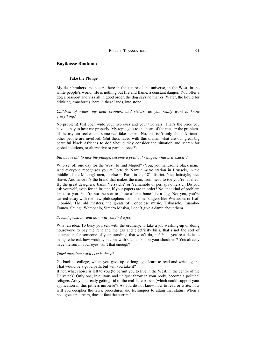#### **Take the Plunge**

My dear brothers and sisters, here in the centre of the universe, in the West, in the white people's world, life is nothing but fire and flame, a constant danger. You offer a dog a passport and visa all in good order, the dog says no thanks! Water, the liquid for drinking, transforms, here in these lands, into stone.

## *Children of water, my dear brothers and sisters, do you really want to know everything?*

No problem! Just open wide your two eyes and your two ears. That's the price you have to pay to hear me properly. My topic gets to the heart of the matter: the problems of the asylum seeker and some real-fake papers. No, this isn't only about Africans, other people are involved. (But then, faced with this drama, what are our great big beautiful black Africans to do? Should they consider the situation and search for global solutions, or alternative or parallel ones?)

#### *But above all, to take the plunge, become a political refugee, what is it exactly?*

Who set off one day for the West, to find Miguel? (You, you handsome black man.) And everyone recognises you at Porte de Namur metro station in Brussels, in the middle of the Matongé area, or else in Paris in the  $18<sup>th</sup>$  district. Nice hairstyle, nice shave. And since it's the brand that makes the man, from head to toe you're labelled. By the great designers, Jianni Versatché<sup>3</sup> or Yamamoto or perhaps others.... Do you ask yourself, even for an instant, if your papers are in order? No, that kind of problem isn't for you. You're not the sort to chase after a bone like a dog. Not you, you're carried away with the new philosophers for our time, singers like Werasson, or Kofi Olomidé. The old masters, the greats of Congolese music, Kabassele, Luambo-Franco, Shungu Wembadio, Simaro Masiya, I don't give a damn about them.

#### *Second question: and how will you find a job?*

What an idea. To busy yourself with the ordinary, to take a job washing-up or doing housework to pay the rent and the gas and electricity bills, that's not the sort of occupation for someone of your standing, that won't do, no! You, you're a delicate being, ethereal, how would you cope with such a load on your shoulders? You already have the sun in your eyes, isn't that enough?

#### *Third question: what else is there?*

Go back to college, which you gave up so long ago, learn to read and write again? That would be a good path, but will you take it?

If not, what choice is left to you (to permit you to live in the West, in the centre of the Universe)? Only one, iniquitous and unique: throw in your body, become a political refugee. Are you already getting rid of the real-fake papers (which could support your application in this pitiless universe)? As you do not know how to read or write, how will you decipher the laws, procedures and techniques to attain that status. When a boat goes up-stream, does it face the current?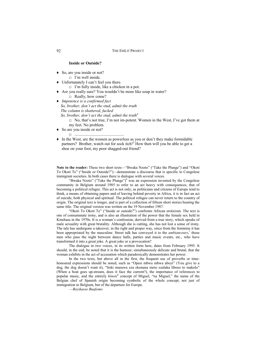## **Inside or Outside?**

- So, are you inside or not?
	- $\Box$  I'm well inside.
- Ƈ Unfortunately I can't feel you there.
	- $\Box$  I'm fully inside, like a chicken in a pot.
- Ƈ Are you really sure? You wouldn't be more like soup in water? □ Really, how come?
- Ƈ *Impotence is a confirmed fact So, brother, don't act the stud, admit the truth The column is shattered, fucked So, brother, don't act the stud, admit the truth4*
	- $\Box$  No, that's not true. I'm not im-potent. Women in the West, I've got them at my feet. No problem.
- ◆ So are you inside or not?
	- Ƒ ................................................
- Ƈ In the West, are the women as powerless as you or don't they make formidable partners? Brother, watch out for sock itch!<sup>5</sup> How then will you be able to get a shoe on your foot, my poor shagged-out friend?

**Note to the reader:** These two short texts—"Bwaka Nzoto" ("Take the Plunge") and "Okoti To Okoti Te" ("Inside or Outside?")—demonstrate a discourse that is specific to Congolese immigrant societies. In both cases there is dialogue with several voices.

"Bwaka Nzoto" ("Take the Plunge") $<sup>6</sup>$  was an expression invented by the Congolese</sup> community in Belgium around 1985 to refer to an act heavy with consequences, that of becoming a political refugee. This act is not only, as politicians and citizens of Europe tend to think, a means of obtaining papers and of leaving behind poverty in Africa, it is in fact an act of suicide, both physical and spiritual. The political refugee can never return to the country of origin. The original text is longer, and is part of a collection of fifteen short stories bearing the same title. The original version was written on the 19 November 1987.

"Okoti To Okoti Te" ("Inside or outside?") confronts African eroticism. The text is one of consummate irony, and is also an illustration of the power that the female sex held in Kinshasa in the 1970s. It is a woman's confession, derived from a true story, which speaks of male sexuality with great brutality. Although she is cutting, she has not lost a sense of irony. The tale has undergone a takeover, in the right and proper way, since from the feminine it has been appropriated by the masculine. Street talk has conveyed it to the *ambianceurs*,<sup>7</sup> those men who pass the night between dance halls, parties and music events, etc., who have transformed it into a great joke. A great joke or a provocation?

The dialogue in two voices, in its written form here, dates from February 1995. It should, in the end, be noted that it is the humour, simultaneously delicate and brutal, that the woman exhibits in the act of accusation which paradoxically demonstrates her power.

In the two texts, but above all in the first, the frequent use of proverbs or timehonoured expressions should be noted, such as "Opesi mbwa mbwa aboyi" (You give to a dog, the dog doesn't want it), "Soki masuwa eza ekonana moto ezalaka liboso to makolo" (When a boat goes up-stream, does it face the current?), the importance of references to popular music, and the entirely *kinois*<sup>8</sup> concept of Miguel, "na Miguel," the name of the Belgian chef of Spanish origin becoming symbolic of the whole concept, not just of immigration to Belgium, but of the departure for Europe.

—*Boyikasse Buafomo*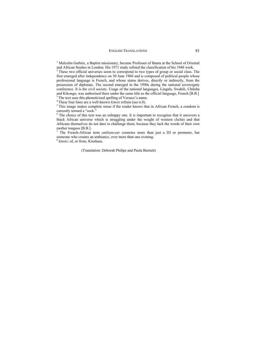<sup>1</sup> Malcolm Guthrie, a Baptist missionary, became Professor of Bantu at the School of Oriental and African Studies in London. His 1971 study refined the classification of his 1948 work.

<sup>2</sup> These two official universes seem to correspond to two types of group or social class. The first emerged after independence on 30 June 1960 and is composed of political people whose professional language is French, and whose status derives, directly or indirectly, from the possession of diplomas. The second emerged in the 1990s during the national sovereignty conference. It is the civil society. Usage of the national languages, Lingala, Swahili, Chiluba and Kikongo, was authorised there under the same title as the official language, French [B.B.] <sup>3</sup>The text uses this phoneticised spelling of Versace's name.

<sup>3</sup> The text uses this phoneticised spelling of Versace's name. 4 These four lines are a well-known *kinois* refrain (see n.8).<br><sup>5</sup> This image makes complete sense if the reader knows that in African French, a condom is currently termed a "sock."

<sup>6</sup> The choice of this text was an unhappy one. It is important to recognise that it uncovers a black African universe which is struggling under the weight of western clichés and that Africans themselves do not dare to challenge them, because they lack the words of their own

<sup>7</sup> The French-African term *ambianceur* connotes more than just a DJ or promoter, but someone who creates an ambiance, over more than one evening.

<sup>8</sup> *kinois*: of, or from, Kinshasa.

(Translation: Deborah Philips and Paula Burnett)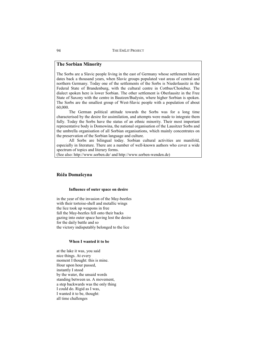# **The Sorbian Minority**

The Sorbs are a Slavic people living in the east of Germany whose settlement history dates back a thousand years, when Slavic groups populated vast areas of central and northern Germany. Today one of the settlements of the Sorbs is Niederlausitz in the Federal State of Brandenburg, with the cultural centre in Cottbus/Chośebuz. The dialect spoken here is lower Sorbian. The other settlement is Oberlausitz in the Free State of Saxony with the centre in Bautzen/Budysin, where higher Sorbian is spoken. The Sorbs are the smallest group of West-Slavic people with a population of about 60,000.

The German political attitude towards the Sorbs was for a long time characterised by the desire for assimilation, and attempts were made to integrate them fully. Today the Sorbs have the status of an ethnic minority. Their most important representative body is Domowina, the national organisation of the Lausitzer Sorbs and the umbrella organisation of all Sorbian organisations, which mainly concentrates on the preservation of the Sorbian language and culture.

All Sorbs are bilingual today. Sorbian cultural activities are manifold, especially in literature. There are a number of well-known authors who cover a wide spectrum of topics and literary forms.

(See also: http://www.sorben.de/ and http://www.sorben-wenden.de)

# **Róža Domašcyna**

#### **Influence of outer space on desire**

in the year of the invasion of the May-beetles with their tortoise-shell and metallic wings the lice took up weapons in free fall the May-beetles fell onto their backs gazing into outer space having lost the desire for the daily battle and so the victory indisputably belonged to the lice

#### **When I wanted it to be**

at the lake it was, you said nice things. At every moment I thought: this is mine. Hour upon hour passed, instantly I stood by the water, the unsaid words standing between us. A movement, a step backwards was the only thing I could do. Rigid as I was, I wanted it to be, thought: all time challenges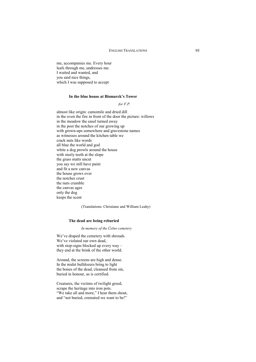me, accompanies me. Every hour leafs through me, undresses me. I waited and wanted, and you said nice things, which I was supposed to accept

#### **In the blue house at Bismarck's Tower**

*for F.P.* 

almost like origin: camomile and dried dill in the oven the fire in front of the door the picture: willows in the meadow the easel turned away in the post the notches of our growing up with grown-ups somewhere and gravestone names as witnesses around the kitchen table we crack nuts like words all blue the world and god white a dog prowls around the house with steely teeth at the slope the grass matts uncut you say we still have paint and fit a new canvas the house grows over the notches crust the nuts crumble the canvas ages only the dog keeps the scent

(Translations: Christiane and William Leahy)

#### **The dead are being reburied**

#### *In memory of the Čelno cemetery*

We've draped the cemetery with shrouds. We've violated our own dead, with stop-signs blocked up every way – they end at the brink of the other world.

Around, the screens are high and dense. In the midst bulldozers bring to light the bones of the dead, cleansed from sin, buried in honour, as is certified.

Creatures, the victims of twilight greed, scrape the heritage into iron pots. "We take all and more," I hear them shout, and "not buried, cremated we want to be!"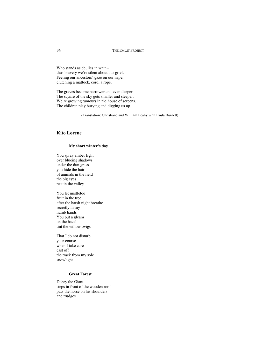Who stands aside, lies in wait – thus bravely we're silent about our grief. Feeling our ancestors' gaze on our nape, clutching a mattock, cord, a rope.

The graves become narrower and even deeper. The square of the sky gets smaller and steeper. We're growing tumours in the house of screens. The children play burying and digging us up.

(Translation: Christiane and William Leahy with Paula Burnett)

# **Kito Lorenc**

#### **My short winter's day**

You spray amber light over blueing shadows under the dun grass you hide the hair of animals in the field the big eyes rest in the valley

You let mistletoe fruit in the tree after the harsh night breathe secretly in my numb hands You put a gleam on the hazel tint the willow twigs

That I do not disturb your course when I take care cast off the track from my sole snowlight

# **Great Forest**

Dobry the Giant steps in front of the wooden roof puts the horse on his shoulders and trudges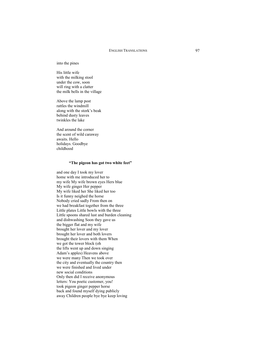#### into the pines

His little wife with the milking stool under the cow, soon will ring with a clatter the milk bells in the village

Above the lamp post rattles the windmill along with the stork's beak behind dusty leaves twinkles the lake

And around the corner the scent of wild caraway awaits. Hello holidays. Goodbye childhood

#### **"The pigeon has got two white feet"**

and one day I took my lover home with me introduced her to my wife My wife brown eyes Hers blue My wife ginger Her pepper My wife liked her She liked her too Is it funny neighed the horse Nobody cried sadly From then on we had breakfast together from the three Little plates Little bowls with the three Little spoons shared lust and burden cleaning and dishwashing Soon they gave us the bigger flat and my wife brought her lover and my lover brought her lover and both lovers brought their lovers with them When we got the tower block (oh the lifts went up and down singing Adam's apples) Heavens above we were many Then we took over the city and eventually the country then we were finished and lived under new social conditions Only then did I receive anonymous letters: You poetic customer, you! took pigeon ginger pepper horse back and found myself dying publicly away Children people bye bye keep loving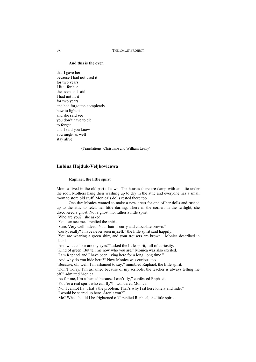#### **And this is the oven**

that I gave her because I had not used it for two years I lit it for her the oven and said I had not lit it for two years and had forgotten completely how to light it and she said see you don't have to die to forget and I said you know you might as well stay alive

(Translations: Christiane and William Leahy)

## **Lubina Hajduk-Veljkoviüowa**

#### **Raphael, the little spirit**

Monica lived in the old part of town. The houses there are damp with an attic under the roof. Mothers hang their washing up to dry in the attic and everyone has a small room to store old stuff. Monica's dolls rested there too.

One day Monica wanted to make a new dress for one of her dolls and rushed up to the attic to fetch her little darling. There in the corner, in the twilight, she discovered a ghost. Not a ghost, no, rather a little spirit.

"Who are you?" she asked.

"You can see me?" replied the spirit.

"Sure. Very well indeed. Your hair is curly and chocolate brown."

"Curly, really? I have never seen myself," the little spirit said happily.

"You are wearing a green shirt, and your trousers are brown," Monica described in detail.

"And what colour are my eyes?" asked the little spirit, full of curiosity.

"Kind of green. But tell me now who you are," Monica was also excited.

"I am Raphael and I have been living here for a long, long time."

"And why do you hide here?" Now Monica was curious too.

"Because, oh, well, I'm ashamed to say," mumbled Raphael, the little spirit.

"Don't worry. I'm ashamed because of my scribble, the teacher is always telling me off," admitted Monica.

"As for me, I'm ashamed because I can't fly," confessed Raphael.

"You're a real spirit who can fly?!" wondered Monica.

"No, I cannot fly. That's the problem. That's why I sit here lonely and hide."

"I would be scared up here. Aren't you?"

"Me? What should I be frightened of?" replied Raphael, the little spirit.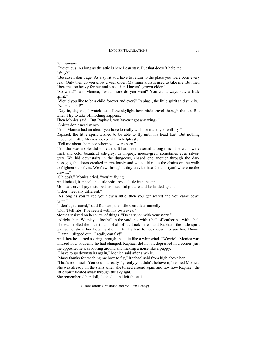"Of humans."

"Ridiculous. As long as the attic is here I can stay. But that doesn't help me."

"Why?"

"Because I don't age. As a spirit you have to return to the place you were born every year. Only then do you grow a year older. My mum always used to take me. But then I became too heavy for her and since then I haven't grown older."

"So what!" said Monica, "what more do you want? You can always stay a little spirit."

"Would you like to be a child forever and ever?" Raphael, the little spirit said sulkily. "No, not at all!"

"Day in, day out, I watch out of the skylight how birds travel through the air. But when I try to take off nothing happens."

Then Monica said: "But Raphael, you haven't got any wings."

"Spirits don't need wings."

"Ah," Monica had an idea, "you have to really wish for it and you will fly."

Raphael, the little spirit wished to be able to fly until his head hurt. But nothing happened. Little Monica looked at him helplessly.

"Tell me about the place where you were born."

"Ah, that was a splendid old castle. It had been deserted a long time. The walls were thick and cold, beautiful ash-grey, dawn-grey, mouse-grey, sometimes even silvergrey. We hid downstairs in the dungeons, chased one another through the dark passages, the doors creaked marvellously and we could rattle the chains on the walls to frighten ourselves. We flew through a tiny crevice into the courtyard where nettles grew...."

"Oh gosh," Monica cried, "you're flying."

And indeed, Raphael, the little spirit rose a little into the air.

Monica's cry of joy disturbed his beautiful picture and he landed again.

"I don't feel any different."

"As long as you talked you flew a little, then you got scared and you came down again."

"I don't get scared," said Raphael, the little spirit determinedly.

"Don't tell fibs. I've seen it with my own eyes."

Monica insisted on her view of things. "Do carry on with your story."

"Alright then. We played football in the yard, not with a ball of leather but with a ball of dew. I rolled the nicest balls of all of us. Look here," and Raphael, the little spirit wanted to show her how he did it. But he had to look down to see her. Down! "Damn," slipped out. "I really can fly!"

And then he started soaring through the attic like a whirlwind. "Wowie!" Monica was amazed how suddenly he had changed. Raphael did not sit depressed in a corner, just the opposite, he was fooling around and making a noise like a puppy.

"I have to go downstairs again," Monica said after a while.

"Many thanks for teaching me how to fly," Raphael said from high above her.

"That's too much. You could already fly, only you didn't believe it," replied Monica. She was already on the stairs when she turned around again and saw how Raphael, the little spirit floated away through the skylight.

She remembered her doll, fetched it and left the attic.

(Translation: Christiane and William Leahy)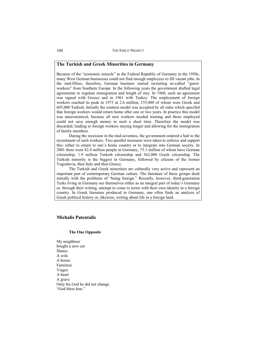## **The Turkish and Greek Minorities in Germany**

Because of the "economic miracle" in the Federal Republic of Germany in the 1950s, many West German businesses could not find enough employees to fill vacant jobs. In the mid-fifties, therefore, German business started recruiting so-called "guestworkers" from Southern Europe. In the following years the government drafted legal agreements to regulate immigration and length of stay. In 1960, such an agreement was signed with Greece and in 1961 with Turkey. The employment of foreign workers reached its peak in 1973 at 2.6 million, 155,000 of whom were Greek and 605,000 Turkish. Initially the rotation model was accepted by all sides which specifed that foreign workers would return home after one or two years. In practice this model was uneconomical, because all new workers needed training and those employed could not save enough money in such a short time. Therefore the model was discarded, leading to foreign workers staying longer and allowing for the immigration of family members.

During the recession in the mid-seventies, the government ordered a halt to the recruitment of such workers. Two parallel measures were taken to enforce and support this: either to return to one's home country or to integrate into German society. In 2001 there were 82.4 million people in Germany, 75.1 million of whom have German citizenship; 1.9 million Turkish citizenship and 362,000 Greek citizenship. The Turkish minority is the biggest in Germany, followed by citizens of the former Yugoslavia, then Italy and then Greece.

The Turkish and Greek minorities are culturally very active and represent an important part of contemporary German culture. The literature of these groups dealt initially with the problems of "being foreign." Recently, however, third-generation Turks living in Germany see themselves either as an integral part of today's Germany or, through their writing, attempt to come to terms with their own identity in a foreign country. In Greek literature produced in Germany, one often finds an analysis of Greek political history or, likewise, writing about life in a foreign land.

## **Michalis Patentalis**

## **The One Opposite**

My neighbour bought a new car Shares A wife A house Furniture Viagra A heart A grave Only his God he did not change. "God bless him"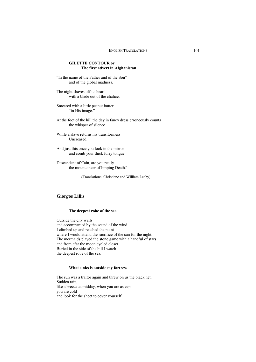## **GILETTE CONTOUR or The first advert in Afghanistan**

"In the name of the Father and of the Son" and of the global madness.

The night shaves off its beard with a blade out of the chalice.

Smeared with a little peanut butter "in His image."

At the foot of the hill the day in fancy dress erroneously counts the whisper of silence

While a slave returns his transitoriness Uncreased.

And just this once you look in the mirror and comb your thick furry tongue.

Descendent of Cain, are you really the mountaineer of limping Death?

(Translations: Christiane and William Leahy)

# **Giorgos Lillis**

#### **The deepest robe of the sea**

Outside the city walls and accompanied by the sound of the wind I climbed up and reached the point where I would attend the sacrifice of the sun for the night. The mermaids played the stone game with a handful of stars and from afar the moon cycled closer. Buried in the side of the hill I watch the deepest robe of the sea.

#### **What sinks is outside my fortress**

The sun was a traitor again and threw on us the black net. Sudden rain, like a breeze at midday, when you are asleep, you are cold and look for the sheet to cover yourself.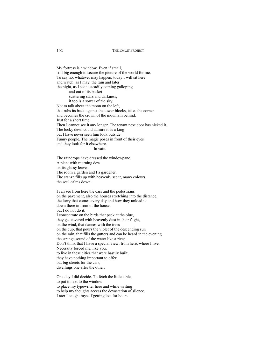My fortress is a window. Even if small, still big enough to secure the picture of the world for me. To say no, whatever may happen, today I will sit here and watch, as I may, the rain and later the night, as I see it steadily coming galloping and out of its basket scattering stars and darkness, it too is a sower of the sky. Not to talk about the moon on the left, that rubs its back against the tower blocks, takes the corner and becomes the crown of the mountain behind. Just for a short time. Then I cannot see it any longer. The tenant next door has nicked it. The lucky devil could admire it as a king but I have never seen him look outside. Funny people. The magic poses in front of their eyes and they look for it elsewhere. In vain.

The raindrops have dressed the windowpane. A plant with morning dew on its glassy leaves. The room a garden and I a gardener. The stanza fills up with heavenly scent, many colours, the soul calms down.

I can see from here the cars and the pedestrians on the pavement, also the houses stretching into the distance, the lorry that comes every day and how they unload it down there in front of the house, but I do not do it. I concentrate on the birds that peck at the blue, they get covered with heavenly dust in their flight, on the wind, that dances with the trees on the cup, that pours the violet of the descending sun on the rain, that fills the gutters and can be heard in the evening the strange sound of the water like a river. Don't think that I have a special view, from here, where I live. Necessity forced me, like you, to live in these cities that were hastily built, they have nothing important to offer but big streets for the cars, dwellings one after the other.

One day I did decide. To fetch the little table, to put it next to the window to place my typewriter here and while writing to help my thoughts access the devastation of silence. Later I caught myself getting lost for hours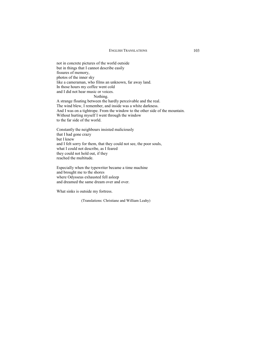not in concrete pictures of the world outside but in things that I cannot describe easily fissures of memory, photos of the inner sky like a cameraman, who films an unknown, far away land. In those hours my coffee went cold and I did not hear music or voices. Nothing. A strange floating between the hardly perceivable and the real. The wind blew, I remember, and inside was a white darkness. And I was on a tightrope. From the window to the other side of the mountain.

Without hurting myself I went through the window

to the far side of the world.

Constantly the neighbours insisted maliciously that I had gone crazy but I knew and I felt sorry for them, that they could not see, the poor souls, what I could not describe, as I feared they could not hold out, if they reached the multitude.

Especially when the typewriter became a time machine and brought me to the shores where Odysseus exhausted fell asleep and dreamed the same dream over and over.

What sinks is outside my fortress.

(Translations: Christiane and William Leahy)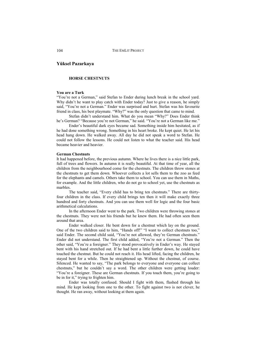# **Yüksel Pazarkaya**

#### **HORSE CHESTNUTS**

#### **You are a Turk**

"You're not a German," said Stefan to Ender during lunch break in the school yard. Why didn't he want to play catch with Ender today? Just to give a reason, he simply said, "You're not a German." Ender was surprised and hurt. Stefan was his favourite friend in class, his best playmate. "Why?" was the only question that came to mind.

Stefan didn't understand him. What do you mean "Why?" Does Ender think he's German? "Because you're not German," he said. "You're not a German like me."

Ender's beautiful dark eyes became sad. Something inside him hesitated, as if he had done something wrong. Something in his heart broke. He kept quiet. He let his head hang down. He walked away. All day he did not speak a word to Stefan. He could not follow the lessons. He could not listen to what the teacher said. His head became heavier and heavier.

#### **German Chestnuts**

It had happened before, the previous autumn. Where he lives there is a nice little park, full of trees and flowers. In autumn it is really beautiful. At that time of year, all the children from the neighbourhood come for the chestnuts. The children throw stones at the chestnuts to get them down. Whoever collects a lot sells them to the zoo as feed for the elephants and camels. Others take them to school. You can use them in Maths, for example. And the little children, who do not go to school yet, use the chestnuts as marbles.

The teacher said, "Every child has to bring ten chestnuts." There are thirtyfour children in the class. If every child brings ten then it will make exactly three hundred and forty chestnuts. And you can use them well for logic and the four basic arithmetical calculations.

In the afternoon Ender went to the park. Two children were throwing stones at the chestnuts. They were not his friends but he knew them. He had often seen them around that area.

Ender walked closer. He bent down for a chestnut which lay on the ground. One of the two children said to him, "Hands off!" "I want to collect chestnuts too," said Ender. The second child said, "You're not allowed, they're German chestnuts." Ender did not understand. The first child added, "You're not a German." Then the other said, "You're a foreigner." They stood provocatively in Ender's way. He stayed bent with his hand stretched out. If he had bent a little further down, he could have touched the chestnut. But he could not reach it. His head lifted, facing the children, he stayed bent for a while. Then he straightened up. Without the chestnut, of course. Silenced. He wanted to say, "The park belongs to everyone and everyone can collect chestnuts," but he couldn't say a word. The other children were getting louder: "You're a foreigner. These are German chestnuts. If you touch them, you're going to be in for it," trying to frighten him.

Ender was totally confused. Should I fight with them, flashed through his mind. He kept looking from one to the other. To fight against two is not clever, he thought. He ran away, without looking at them again.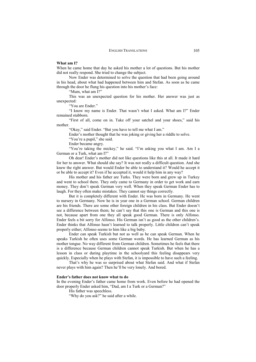#### **What am I?**

When he came home that day he asked his mother a lot of questions. But his mother did not really respond. She tried to change the subject.

Now Ender was determined to solve the question that had been going around in his head, about what had happened between him and Stefan. As soon as he came through the door he flung his question into his mother's face:

"Mum, what am I?"

This was an unexpected question for his mother. Her answer was just as unexpected:

"You are Ender."

"I know my name is Ender. That wasn't what I asked. What am I?" Ender remained stubborn.

"First of all, come on in. Take off your satchel and your shoes," said his mother.

"Okay," said Ender. "But you have to tell me what I am."

Ender's mother thought that he was joking or giving her a riddle to solve.

"You're a pupil," she said.

Ender became angry.

"You're taking the mickey," he said. "I'm asking you what I am. Am I a German or a Turk, what am I?"

Oh dear! Ender's mother did not like questions like this at all. It made it hard for her to answer. What should she say? It was not really a difficult question. And she knew the right answer. But would Ender be able to understand it? Would he accept it or be able to accept it? Even if he accepted it, would it help him in any way?

His mother and his father are Turks. They were born and grew up in Turkey and went to school there. They only came to Germany in order to get work and earn money. They don't speak German very well. When they speak German Ender has to laugh. For they often make mistakes. They cannot say things correctly.

But it is completely different with Ender. He was born in Germany. He went to nursery in Germany. Now he is in year one in a German school. German children are his friends. There are some other foreign children in his class. But Ender doesn't see a difference between them; he can't say that this one is German and this one is not, because apart from one they all speak good German. There is only Alfonso. Ender feels a bit sorry for Alfonso. His German isn't as good as the other children's. Ender thinks that Alfonso hasn't learned to talk properly. Little children can't speak properly either; Alfonso seems to him like a big baby.

Ender can speak Turkish but not as well as he can speak German. When he speaks Turkish he often uses some German words. He has learned German as his mother tongue. No way different from German children. Sometimes he feels that there is a difference because German children cannot speak Turkish. But when he has a lesson in class or during playtime in the schoolyard this feeling disappears very quickly. Especially when he plays with Stefan, it is impossible to have such a feeling.

That's why he was so surprised about what Stefan said. And what if Stefan never plays with him again? Then he'll be very lonely. And bored.

#### **Ender's father does not know what to do**

In the evening Ender's father came home from work. Even before he had opened the door properly Ender asked him, "Dad, am I a Turk or a German?"

His father was speechless.

"Why do you ask?" he said after a while.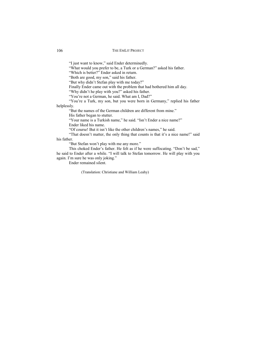"I just want to know," said Ender determinedly.

"What would you prefer to be, a Turk or a German?" asked his father.

"Which is better?" Ender asked in return.

"Both are good, my son," said his father.

"But why didn't Stefan play with me today?"

Finally Ender came out with the problem that had bothered him all day.

"Why didn't he play with you?" asked his father.

"You're not a German, he said. What am I, Dad?"

"You're a Turk, my son, but you were born in Germany," replied his father helplessly.

"But the names of the German children are different from mine."

His father began to stutter.

"Your name is a Turkish name," he said. "Isn't Ender a nice name?"

Ender liked his name.

"Of course! But it isn't like the other children's names," he said.

"That doesn't matter, the only thing that counts is that it's a nice name!" said his father.

"But Stefan won't play with me any more."

This choked Ender's father. He felt as if he were suffocating. "Don't be sad," he said to Ender after a while. "I will talk to Stefan tomorrow. He will play with you again. I'm sure he was only joking."

Ender remained silent.

(Translation: Christiane and William Leahy)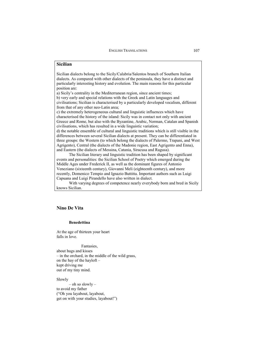# **Sicilian**

Sicilian dialects belong to the Sicily/Calabria/Salentos branch of Southern Italian dialects. As compared with other dialects of the peninsula, they have a distinct and particularly interesting history and evolution. The main reasons for this particular position are:

a) Sicily's centrality in the Mediterranean region, since ancient times; b) very early and special relations with the Greek and Latin languages and civilisations; Sicilian is characterised by a particularly developed vocalism, different from that of any other neo-Latin area;

c) the extremely heterogeneous cultural and linguistic influences which have characterised the history of the island: Sicily was in contact not only with ancient Greece and Rome, but also with the Byzantine, Arabic, Norman, Catalan and Spanish civilisations, which has resulted in a wide linguistic variation;

d) the notable ensemble of cultural and linguistic traditions which is still visible in the differences between several Sicilian dialects at present. They can be differentiated in three groups: the Western (to which belong the dialects of Palermo, Trapani, and West Agrigento), Central (the dialects of the Madonie region, East Agrigento and Enna), and Eastern (the dialects of Messina, Catania, Siracusa and Ragusa).

The Sicilian literary and linguistic tradition has been shaped by significant events and personalities: the Sicilian School of Poetry which emerged during the Middle Ages under Frederick II, as well as the dominant figures of Antonio Veneziano (sixteenth century), Giovanni Meli (eighteenth century), and more recently, Domenico Tempio and Ignazio Buttitta. Important authors such as Luigi Capuana and Luigi Pirandello have also written in dialect.

With varying degrees of competence nearly everybody born and bred in Sicily knows Sicilian.

# **Nino De Vita**

### **Benedettina**

At the age of thirteen your heart falls in love.

Fantasies, about hugs and kisses – in the orchard, in the middle of the wild grass, on the hay of the hayloft – kept driving me out of my tiny mind.

### Slowly

– oh so slowly – to avoid my father ("Oh you layabout, layabout, get on with your studies, layabout!")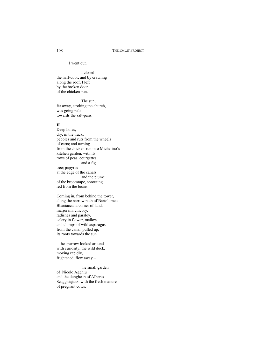#### I went out.

I closed the half-door; and by crawling along the roof, I left by the broken door of the chicken-run.

The sun, far away, stroking the church, was going pale towards the salt-pans.

#### **II**

Deep holes, dry, in the track; pebbles and ruts from the wheels of carts; and turning from the chicken-run into Michelino's kitchen garden, with its rows of peas, courgettes, and a fig tree; papyrus at the edge of the canals and the plume of the broomrape, sprouting red from the beans.

Coming in, from behind the tower, along the narrow path of Bartolomeo Bbaciacca, a corner of land: marjoram, chicory, radishes and parsley, celery in flower, mallow and clumps of wild asparagus from the canal, pulled up, its roots towards the sun

– the sparrow looked around with curiosity; the wild duck, moving rapidly, frightened, flew away –

the small garden of Nicolo Agghiu and the dungheap of Alberto Scagghiajazzi with the fresh manure of pregnant cows.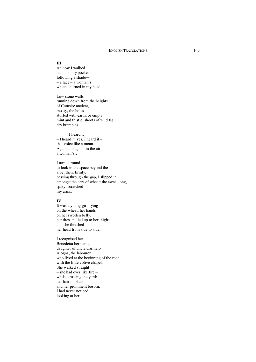### **III**

Ah how I walked hands in my pockets following a shadow – a face – a woman's which churned in my head.

Low stone walls running down from the heights of Cutusio: ancient, mossy, the holes stuffed with earth, or empty: mint and thistle, shoots of wild fig, dry brambles…

I heard it  $-$  I heard it, yes, I heard it  $$ that voice like a moan. Again and again, in the air, a woman's…

I turned round to look in the space beyond the aloe; then, firmly, passing through the gap, I slipped in, amongst the ears of wheat: the awns, long, spiky, scratched my arms.

### **IV**

It was a young girl, lying on the wheat: her hands on her swollen belly, her dress pulled up to her thighs, and she threshed her head from side to side.

I recognised her. Benedetta her name, daughter of uncle Carmelo Alogna, the labourer who lived at the beginning of the road with the little votive chapel. She walked straight – she had eyes like fire – whilst crossing the yard: her hair in plaits and her prominent bosom. I had never noticed, looking at her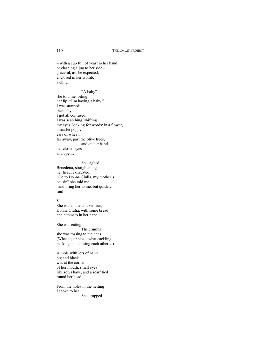– with a cup full of yeast in her hand or clasping a jug to her side – graceful, as she expected, enclosed in her womb, a child.

"A baby" she told me, biting her lip. "I'm having a baby." I was stunned; then, shy, I got all confused. I was searching, shifting my eyes, looking for words: in a flower, a scarlet poppy, ears of wheat, far away, past the olive trees, and on her hands, her closed eyes and open…

She sighed, Benedetta, straightening her head, exhausted. "Go to Donna Giulia, my mother's cousin" she told me "and bring her to me, but quickly, run!"

### **V**

She was in the chicken-run, Donna Giulia, with some bread and a tomato in her hand.

She was eating. The crumbs she was tossing to the hens. (What squabbles – what cackling – pecking and chasing each other…)

A mole with lots of hairs big and black was at the corner of her mouth, small eyes like sows have, and a scarf tied round her head.

From the holes in the netting I spoke to her.

She dropped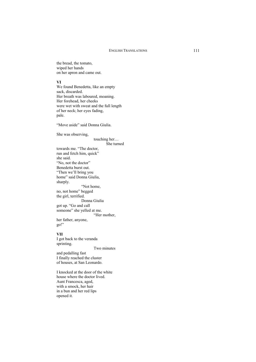the bread, the tomato, wiped her hands on her apron and came out.

#### **VI**

We found Benedetta, like an empty sack, discarded. Her breath was laboured, moaning. Her forehead, her cheeks were wet with sweat and the full length of her neck; her eyes fading, pale.

"Move aside" said Donna Giulia.

She was observing,

touching her…

She turned

towards me. "The doctor, run and fetch him, quick" she said. "No, not the doctor" Benedetta burst out. "Then we'll bring you home" said Donna Giulia, sharply. "Not home, no, not home" begged the girl, terrified. Donna Giulia got up. "Go and call someone" she yelled at me. "Her mother, her father, anyone, go!"

#### **VII**

I got back to the veranda sprinting. Two minutes and pedalling fast I finally reached the cluster of houses, at San Leonardo.

I knocked at the door of the white house where the doctor lived. Aunt Francesca, aged, with a smock, her hair in a bun and her red lips opened it.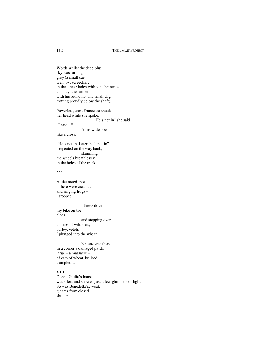Words whilst the deep blue sky was turning grey (a small cart went by, screeching in the street: laden with vine branches and hay, the farmer with his round hat and small dog trotting proudly below the shaft).

Powerless, aunt Francesca shook her head while she spoke.

"He's not in" she said

"Later…"

Arms wide open,

like a cross.

"He's not in. Later, he's not in" I repeated on the way back, slamming the wheels breathlessly in the holes of the track.

\*\*\*

At the noted spot – there were cicadas, and singing frogs – I stopped.

I threw down my bike on the aloes and stepping over clumps of wild oats, barley, vetch, I plunged into the wheat.

No-one was there. In a corner a damaged patch, large – a massacre – of ears of wheat, bruised, trampled…

#### **VIII**

Donna Giulia's house was silent and showed just a few glimmers of light; So was Benedetta's: weak gleams from closed shutters.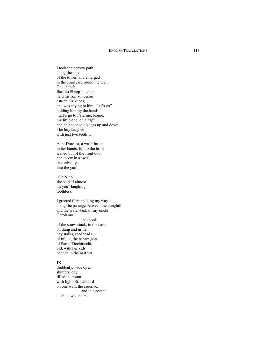I took the narrow path along the side of the tower, and emerged in the courtyard round the well. On a bench, Bartolo Sheep-butcher held his son Vincenzo astride his knees, and was saying to him "Let's go" holding him by the hands "Let's go to Palermo, Rome, my little one, on a trip" and he bounced his legs up and down. The boy laughed with just two teeth...

Aunt Dorotea, a wash-basin in her hands, full to the brim leaned out of the front door and threw in a swirl the turbid lye into the yard.

"Oh Nino" she said "I almost hit you" laughing toothless.

I greeted them making my way along the passage between the dunghill and the water-tank of my uncle Gerolamo.

In a nook of the straw-stack, in the dark, on dung and urine, hay stalks, seedheads of millet, the nanny-goat of Paolo Ticchiticchi, old, with her kids penned in the half vat.

#### **IX**

Suddenly, wide open shutters, day filled the room with light: St. Leonard on one wall, the crucifix, and in a corner a table, two chairs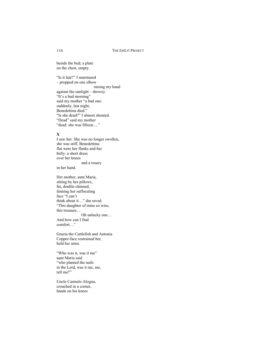beside the bed; a plate on the chest, empty.

"Is it late?" I murmured – propped on one elbow raising my hand against the sunlight – drowsy. "It's a bad morning" said my mother "a bad one: suddenly, last night, Benedettina died." "Is she dead?" I almost shouted. "Dead" said my mother "dead: she was fifteen…."

# **X**

I saw her. She was no longer swollen, she was stiff, Benedettina: flat were her flanks and her belly: a short dress over her knees and a rosary

in her hand.

Her mother, aunt Maria, sitting by her pillows, fat, double-chinned, fanning her suffocating face "I can't think about it…" she raved. "This daughter of mine so wise, this treasure… Oh unlucky one…

And how can I find comfort…"

Grazia the Cuttlefish and Antonia Copper-face restrained her, held her arms.

"Who was it, was it me" aunt Maria said "who planted the nails in the Lord, was it me, me, tell me?"

Uncle Carmelo Alogna, crouched in a corner, hands on his knees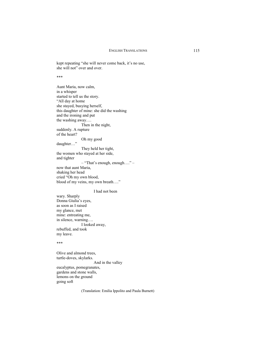kept repeating "she will never come back, it's no use, she will not" over and over.

\*\*\*

Aunt Maria, now calm, in a whisper started to tell us the story. "All day at home she stayed, busying herself, this daughter of mine: she did the washing and the ironing and put the washing away…. Then in the night, suddenly. A rupture of the heart? Oh my good daughter…" They held her tight, the women who stayed at her side, and tighter – "That's enough, enough…." – now that aunt Maria, shaking her head cried "Oh my own blood, blood of my veins, my own breath…."

I had not been

wary. Sharply Donna Giulia's eyes, as soon as I raised my glance, met mine: entreating me, in silence, warning…. I looked away, rebuffed, and took my leave.

\*\*\*

Olive and almond trees, turtle-doves, skylarks. And in the valley eucalyptus, pomegranates, gardens and stone walls, lemons on the ground going soft

(Translation: Emilia Ippolito and Paula Burnett)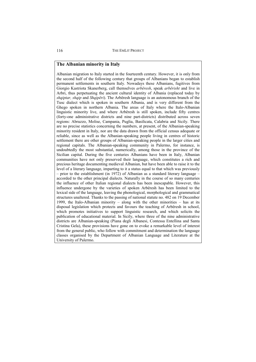# **The Albanian minority in Italy**

Albanian migration to Italy started in the fourteenth century. However, it is only from the second half of the following century that groups of Albanians began to establish permanent settlements in southern Italy. Nowadays these Albanians, fugitives from Giorgio Kastriota Skanerberg, call themselves *arbëresh*, speak *arbërisht* and live in Arbri, thus perpetuating the ancient cultural identity of Albania (replaced today by *shqiptar, shqip* and *Shqipëri*). The Arbëresh language is an autonomous branch of the Tusc dialect which is spoken in southern Albania, and is very different from the Ghego spoken in northern Albania. The areas of Italy where the Italo-Albanian linguistic minority live, and where Arbëresh is still spoken, include fifty centres (forty-one administrative districts and nine part-districts) distributed across seven regions: Abruzzo, Molise, Campania, Puglia, Basilicata, Calabria and Sicily. There are no precise statistics concerning the numbers, at present, of the Albanian-speaking minority resident in Italy, nor are the data drawn from the official census adequate or reliable, since as well as the Albanian-speaking people living in centres of historic settlement there are other groups of Albanian-speaking people in the larger cities and regional capitals. The Albanian-speaking community in Palermo, for instance, is undoubtedly the most substantial, numerically, among those in the province of the Sicilian capital. During the five centuries Albanians have been in Italy, Albanian communities have not only preserved their language, which constitutes a rich and precious heritage documenting medieval Albanian, but have been able to raise it to the level of a literary language, imparting to it a status equal to that which was previously – prior to the establishment (in 1972) of Albanian as a standard literary language – accorded to the other principal dialects. Naturally in the course of so many centuries the influence of other Italian regional dialects has been inescapable. However, this influence undergone by the varieties of spoken Arbëresh has been limited to the lexical side of the language, leaving the phonological, morphological and grammatical structures unaltered. Thanks to the passing of national statute no. 482 on 19 December 1999, the Italo-Albanian minority – along with the other minorities – has at its disposal legislation which protects and favours the teaching of Arbëresh in school, which promotes initiatives to support linguistic research, and which solicits the publication of educational material. In Sicily, where three of the nine administrative districts are Albanian-speaking (Piana degli Albanesi, Contessa Entellina and Santa Cristina Gela), these provisions have gone on to evoke a remarkable level of interest from the general public, who follow with commitment and determination the language classes organised by the Department of Albanian Language and Literature at the University of Palermo.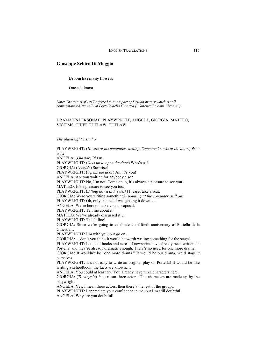## **Giuseppe Schirò Di Maggio**

#### **Broom has many flowers**

One act drama

*Note: The events of 1947 referred to are a part of Sicilian history which is still commemorated annually at Portella della Ginestra ("Ginestra" means "broom").* 

### DRAMATIS PERSONAE: PLAYWRIGHT, ANGELA, GIORGIA, MATTEO, VICTIMS, CHIEF OUTLAW, OUTLAW.

*The playwright's studio.* 

PLAYWRIGHT: (*He sits at his computer, writing. Someone knocks at the door.*) Who is it? ANGELA: (*Outside*) It's us. PLAYWRIGHT: (*Gets up to open the door*) Who's us? GIORGIA: (*Outside*) Surprise! PLAYWRIGHT: (*Opens the door*) Ah, it's you! ANGELA: Are you waiting for anybody else? PLAYWRIGHT: No, I'm not. Come on in, it's always a pleasure to see you. MATTEO: It's a pleasure to see you too. PLAYWRIGHT: (*Sitting down at his desk*) Please, take a seat. GIORGIA: Were you writing something? (*pointing at the computer, still on*) PLAYWRIGHT: Oh, only an idea, I was getting it down…. ANGELA: We're here to make you a proposal. PLAYWRIGHT: Tell me about it. MATTEO: We've already discussed it…. PLAYWRIGHT: That's fine! GIORGIA: Since we're going to celebrate the fiftieth anniversary of Portella della Ginestra,… PLAYWRIGHT: I'm with you, but go on…. GIORGIA: …don't you think it would be worth writing something for the stage? PLAYWRIGHT: Loads of books and acres of newsprint have already been written on Portella, and they're already dramatic enough. There's no need for one more drama. GIORGIA: It wouldn't be "one more drama." It would be our drama, we'd stage it ourselves. PLAYWRIGHT: It's not easy to write an original play on Portella! It would be like writing a schoolbook: the facts are known.... ANGELA: You could at least try. You already have three characters here. GIORGIA: (*To Angela*) You mean three actors. The characters are made up by the playwright. ANGELA: Yes, I mean three actors: then there's the rest of the group… PLAYWRIGHT: I appreciate your confidence in me, but I'm still doubtful. ANGELA: Why are you doubtful!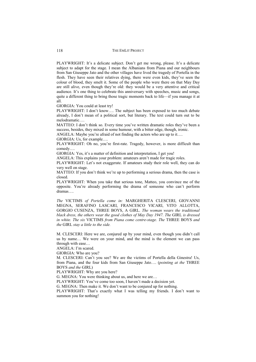PLAYWRIGHT: It's a delicate subject. Don't get me wrong, please. It's a delicate subject to adapt for the stage. I mean the Albanians from Piana and our neighbours from San Giuseppe Jato and the other villages have lived the tragedy of Portella in the flesh. They have seen their relatives dying, there were even kids, they've seen the colour of blood, they smelt it. Some of the people who were there on that May Day are still alive, even though they're old: they would be a very attentive and critical audience. It's one thing to celebrate this anniversary with speeches, music and songs, quite a different thing to bring those tragic moments back to life—if you manage it at all.

GIORGIA: You could at least try!

PLAYWRIGHT: I don't know…. The subject has been exposed to too much debate already, I don't mean of a political sort, but literary. The text could turn out to be melodramatic….

MATTEO: I don't think so. Every time you've written dramatic roles they've been a success, besides, they mixed in some humour, with a bitter edge, though, ironic.

ANGELA: Maybe you're afraid of not finding the actors who are up to it….

GIORGIA: Us, for example….

PLAYWRIGHT: Oh no, you're first-rate. Tragedy, however, is more difficult than comedy….

GIORGIA: Yes, it's a matter of definition and interpretation, I get you!

ANGELA: This explains your problem: amateurs aren't made for tragic roles.

PLAYWRIGHT: Let's not exaggerate. If amateurs study their role well, they can do very well on stage.

MATTEO: If you don't think we're up to performing a serious drama, then the case is closed.

PLAYWRIGHT: When you take that serious tone, Matteo, you convince me of the opposite. You're already performing the drama of someone who can't perform dramas….

*The* VICTIMS *of Portella come in:* MARGHERITA CLESCERI, GIOVANNI MEGNA, SERAFINO LASCARI, FRANCESCO VICARI, VITO ALLOTTA, GORGIO CUSENZA, THREE BOYS, A GIRL. *The woman wears the traditional black dress, the others wear the good clothes of May Day 1947. The* GIRL *is dressed in white. The six* VICTIMS *from Piana come centre-stage. The* THREE BOYS *and the* GIRL *stay a little to the side.*

M. CLESCERI: Here we are, conjured up by your mind, even though you didn't call us by name… We were on your mind, and the mind is the element we can pass through with ease…

ANGELA: I'm scared.

GIORGIA: Who are you?

M. CLESCERI: Can't you see? We are the victims of Portella della Ginestra! Us, from Piana, and the four kids from San Giuseppe Jato…. (*pointing at the* THREE BOYS *and the* GIRL)

PLAYWRIGHT: Why are you here?

G. MEGNA: You were thinking about us, and here we are…

PLAYWRIGHT: You've come too soon, I haven't made a decision yet.

G. MEGNA: Then make it. We don't want to be conjured up for nothing.

PLAYWRIGHT: That's exactly what I was telling my friends. I don't want to summon you for nothing!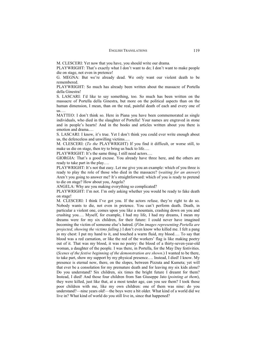M. CLESCERI: Yet now that you have, you should write our drama.

PLAYWRIGHT: That's exactly what I don't want to do; I don't want to make people die on stage, not even in pretence!

G. MEGNA: But we're already dead. We only want our violent death to be remembered.

PLAYWRIGHT: So much has already been written about the massacre of Portella della Ginestra!

S. LASCARI: I'd like to say something, too. So much has been written on the massacre of Portella della Ginestra, but more on the political aspects than on the human dimension, I mean, than on the real, painful death of each and every one of us….

MATTEO: I don't think so. Here in Piana you have been commemorated as single individuals, who died in the slaughter of Portella! Your names are engraved in stone and in people's hearts! And in the books and articles written about you there is emotion and drama.…

S. LASCARI: I know, it's true. Yet I don't think you could ever write enough about us, the defenceless and unwilling victims….

M. CLESCERI: (*To the* PLAYWRIGHT) If you find it difficult, or worse still, to make us die on stage, then try to bring us back to life….

PLAYWRIGHT: It's the same thing. I still need actors….

GIORGIA: That's a good excuse. You already have three here, and the others are ready to take part in the play….

PLAYWRIGHT: It's not that easy. Let me give you an example: which of you three is ready to play the role of those who died in the massacre? (*waiting for an answer*) Aren't you going to answer me? It's straightforward: which of you is ready to pretend to die on stage? How about you, Angela?

ANGELA: Why are you making everything so complicated?

PLAYWRIGHT: I'm not. I'm only asking whether you would be ready to fake death on stage!

M. CLESCERI: I think I've got you. If the actors refuse, they're right to do so. Nobody wants to die, not even in pretence. You can't perform death. Death, in particular a violent one, comes upon you like a mountain, crashing down on you and crushing you…. Myself, for example, I had my life, I had my dreams, I mean my dreams were for my six children, for their future: I could never have imagined becoming the victim of someone else's hatred. (*Film images representing Portella are projected, showing the victims falling*.) I don't even know who killed me. I felt a pang in my chest: I put my hand to it, and touched a warm fluid, my blood…. To say that blood was a red carnation, or like the red of the workers' flag is like making poetry out of it. That was my blood, it was no poetry: the blood of a thirty-seven-year-old woman, a daughter of the people. I was there, in Portella, for the May Day festivities. (*Scenes of the festive beginning of the demonstration are shown*.) I wanted to be there, to take part, show my support by my physical presence…. Instead, I died! I know. My presence is eternal now, there, on the slopes, between Pizzuta and Kumeta; yet will that ever be a consolation for my premature death and for leaving my six kids alone? Do you understand? Six children, six times the bright future I dreamt for them? Instead, I died! And those four children from San Giuseppe Jato (*pointing at them*), they were killed, just like that, at a most tender age, can you see them? I took those poor children with me, like my own children: one of them was nine: do you understand?—nine years old!—the boys were a bit older. What kind of a world did we live in? What kind of world do you still live in, since that happened?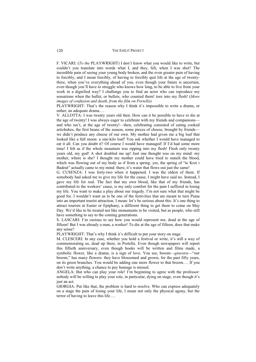F. VICARI: (*To the* PLAYWRIGHT) I don't know what you would like to write, but couldn't you translate into words what I, and they, felt, when I was shot? The incredible pain of seeing your young body broken, and the even greater pain of having to forcibly, and I mean forcibly, of having to forcibly quit life at the age of twentythree, when you've everything ahead of you, even though your future is uncertain, even though you'll have to struggle who knows how long, to be able to live from your work in a dignified way? I challenge you to find an actor who can reproduce my sensations when the bullet, or bullets, who counted them! tore into my flesh! (*More images of confusion and death, from the film on Portella*)

PLAYWRIGHT: That's the reason why I think it's impossible to write a drama, or rather, an adequate drama….

V. ALLOTTA: I was twenty years old then. How can it be possible to have to die at the age of twenty! I was always eager to celebrate with my friends and companions and who isn't, at the age of twenty!—then, celebrating consisted of eating cooked artichokes, the first beans of the season, some pieces of cheese, brought by friends we didn't produce any cheese of our own. My mother had given me a big loaf that looked like a full moon: a one-kilo loaf! You ask whether I would have managed to eat it all. Can you doubt it? Of course I would have managed! If I'd had some more time! I felt as if the whole mountain was ripping into my flesh! Flesh only twenty years old, my god! A shot doubled me up! Just one thought was on my mind: my mother, where is she? I thought my mother could have tried to stanch the blood, which was flowing out of my body as if from a spring: yes, the spring of "te Kroi i Badeut" actually came to my mind: there, it's water that flows out just the same!

G. CUSENZA: I was forty-two when it happened. I was the oldest of them. If somebody had asked me to give my life for the cause, I might have said no. Instead, I gave my life for real. The fact that my own blood, like that of my friends, has contributed to the workers' cause, is my only comfort for the pain I suffered in losing my life. You want to make a play about our tragedy. I'm not sure what that might be good for. I wouldn't want us to be one of the festivities that are meant to turn Piana into an important tourist attraction. I mean: let's be serious about this. It's one thing to attract tourists at Easter or Epiphany, a different thing to get them to come on May Day. We'd like to be treated not like monuments to be visited, but as people, who still have something to say to the coming generations.

S. LASCARI: I'm curious to see how you would represent me, dead at the age of fifteen! But I was already a man, a worker! To die at the age of fifteen, does that make any sense?

PLAYWRIGHT: That's why I think it's difficult to put your story on stage.

M. CLESCERI: In any case, whether you hold a festival or write, it's still a way of commemorating us, dead up there, in Portella. Even though newspapers will report this fiftieth anniversary, even though books will be written and films made, a symbolic flower, like a drama, is a sign of love. You see, broom—*ginestra*—"our broom," has many flowers: they have blossomed and grown, for the past fifty years, on its green branches. You would be adding one more flower to that broom…. If you don't write anything, a chance to pay homage is missed.

ANGELA: But who can play your role! I'm beginning to agree with the professor: nobody will be willing to play your role, in particular, dying on stage, even though it's just an act.

GIORGIA: Put like that, the problem is hard to resolve. Who can express adequately on a stage the pain of losing your life, I mean not only the physical agony, but the terror of having to leave this life….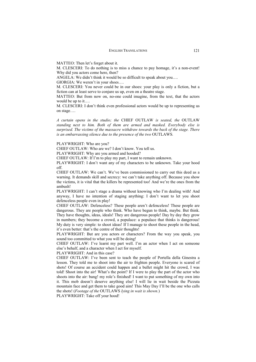MATTEO: Then let's forget about it.

M. CLESCERI: To do nothing is to miss a chance to pay homage, it's a non-event! Why did you actors come here, then?

ANGELA: We didn't think it would be so difficult to speak about you….

GIORGIA: We weren't in your shoes….

M. CLESCERI: You never could be in our shoes: your play is only a fiction, but a fiction can at least serve to conjure us up, even on a theatre stage.

MATTEO: But from now on, no-one could imagine, from the text, that the actors would be up to it….

M. CLESCERI: I don't think even professional actors would be up to representing us on stage….

*A curtain opens in the studio; the* CHIEF OUTLAW *is seated, the* OUTLAW *standing next to him. Both of them are armed and masked. Everybody else is surprised. The victims of the massacre withdraw towards the back of the stage. There is an embarrassing silence due to the presence of the two* OUTLAWS*.*

PLAYWRIGHT: Who are you?

CHIEF OUTLAW: Who are we? I don't know. You tell us.

PLAYWRIGHT: Why are you armed and hooded?

CHIEF OUTLAW: If I'm to play my part, I want to remain unknown.

PLAYWRIGHT: I don't want any of my characters to be unknown. Take your hood off.

CHIEF OUTLAW: We can't. We've been commissioned to carry out this deed as a warning. It demands skill and secrecy: we can't take anything off. Because you show the victims, it is vital that the killers be represented too! And we're the ones from the ambush!

PLAYWRIGHT: I can't stage a drama without knowing who I'm dealing with! And anyway, I have no intention of staging anything: I don't want to let you shoot defenceless people even in play!

CHIEF OUTLAW: Defenceless? These people aren't defenceless! These people are dangerous. They are people who think. Who have begun to think, maybe. But think. They have thoughts, ideas, ideals! They are dangerous people! Day by day they grow in numbers; they become a crowd, a populace: a populace that thinks is dangerous! My duty is very simple: to shoot ideas! If I manage to shoot these people in the head, it's even better: that's the centre of their thoughts!

PLAYWRIGHT: But are you actors or characters? From the way you speak, you sound too committed to what you will be doing!

CHIEF OUTLAW: I've learnt my part well. I'm an actor when I act on someone else's behalf, and a character when I act for myself.

PLAYWRIGHT: And in this case?

CHIEF OUTLAW: I've been sent to teach the people of Portella della Ginestra a lesson. They told me to shoot into the air to frighten people. Everyone is scared of shots! Of course an accident could happen and a bullet might hit the crowd, I was told! Shoot into the air! What's the point? If I were to play the part of the actor who shoots into the air: bang! my role's finished! I want to put something of my own into it. This mob doesn't deserve anything else! I will lie in wait beside the Pizzuta mountain face and get them to take good aim! This May Day I'll be the one who calls the shots! (*Footage of the* OUTLAWS *lying in wait is shown.*)

PLAYWRIGHT: Take off your hood!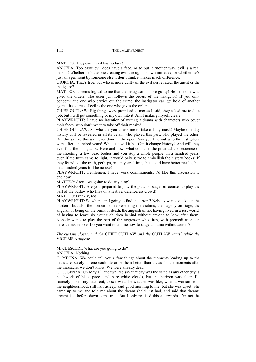MATTEO: They can't: evil has no face!

ANGELA: Too easy: evil does have a face, or to put it another way, evil is a real person! Whether he's the one creating evil through his own initiative, or whether he's just an agent sent by someone else. I don't think it makes much difference.

GIORGIA: That's true, but who is more guilty of the evil perpetrated, the agent or the instigator?

MATTEO: It seems logical to me that the instigator is more guilty! He's the one who gives the orders. The other just follows the orders of the instigator! If you only condemn the one who carries out the crime, the instigator can get hold of another agent: the source of evil is the one who gives the orders!

CHIEF OUTLAW: Big things were promised to me: as I said, they asked me to do a job, but I will put something of my own into it. Am I making myself clear?

PLAYWRIGHT: I have no intention of writing a drama with characters who cover their faces, who don't want to take off their masks!

CHIEF OUTLAW: So who are you to ask me to take off my mask! Maybe one day history will be revealed in all its detail: who played this part, who played the other! But things like this are never done in the open! Say you find out who the instigators were after a hundred years! What use will it be! Can it change history? And will they ever find the instigators? Here and now, what counts is the practical consequence of the shooting: a few dead bodies and you stop a whole people! In a hundred years, even if the truth came to light, it would only serve to embellish the history books! If they found out the truth, perhaps, in ten years' time, that could have better results, but in a hundred years it'll be no use!

PLAYWRIGHT: Gentlemen, I have work commitments, I'd like this discussion to end now!

MATTEO: Aren't we going to do anything?

PLAYWRIGHT: Are you prepared to play the part, on stage, of course, to play the part of the outlaw who fires on a festive, defenceless crowd?

MATTEO: Frankly, no!

PLAYWRIGHT: So where am I going to find the actors? Nobody wants to take on the burden—but also the honour—of representing the victims, their agony on stage, the anguish of being on the brink of death, the anguish of not having lived in a just world, of having to leave six young children behind without anyone to look after them! Nobody wants to play the part of the aggressor who fires, with premeditation, on defenceless people. Do you want to tell me how to stage a drama without actors?

*The curtain closes, and the* CHIEF OUTLAW *and the* OUTLAW *vanish while the*  VICTIMS *reappear.*

M. CLESCERI: What are you going to do?

ANGELA: Nothing!

G. MEGNA: We could tell you a few things about the moments leading up to the massacre, surely no one could describe them better than us: as for the moments after the massacre, we don't know. We were already dead...

G. CUSENZA: On May  $1<sup>st</sup>$ , at dawn, the sky that day was the same as any other day: a patchwork of blue spaces and pure white clouds, but the horizon was clear. I'd scarcely poked my head out, to see what the weather was like, when a woman from the neighbourhood, still half asleep, said good morning to me, but she was upset. She came up to me and told me about the dream she'd just had, and said that dreams dreamt just before dawn come true! But I only realised this afterwards. I'm not the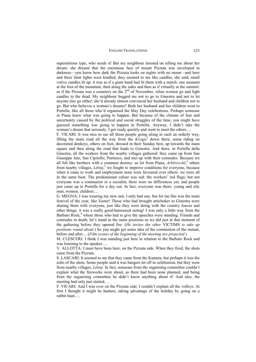superstitious type, who needs it! But my neighbour insisted on telling me about her dream: she dreamt that the enormous face of mount Pizzuta was enveloped in darkness—you know how dark the Pizzuta looks on nights with no moon—and here and there faint lights were kindled, they seemed to me like candles, she said; small votive candles lit up: it was as if a giant hand had lit them with a match: one moment at the foot of the mountain, then along the sides and then as if virtually at the summit: as if the Pizzuta was a cemetery on the 2<sup>nd</sup> of November, when women go and light candles to the dead. My neighbour begged me not to go to Ginestra and not to let anyone else go either; she'd already almost convinced her husband and children not to go. But who believes a woman's dreams? Both her husband and her children went to Portella, like all those who'd organised the May Day celebrations. Perhaps someone in Piana knew what was going to happen. But because of the climate of fear and uncertainty caused by the political and social struggles of the time, you might have guessed something was going to happen in Portella. Anyway, I didn't take the woman's dream that seriously. I got ready quickly and went to meet the others....

F. VICARI: It was nice to see all those people going along in such an orderly way, filling the main road all the way from the *Kryqja*<sup>1</sup> down there, some riding on decorated donkeys, others on foot, dressed in their Sunday best, up towards the main square and then along the road that leads to Ginestra. And there, in Portella della Ginestra, all the workers from the nearby villages gathered: they came up from San Giuseppe Jato, San Cipirello, Partinico, and met up with their comrades. Because we all felt like brothers with a common destiny: us lot from Piana, *Arbëreschë*, <sup>2</sup> others from nearby villages, *Lëtinj*, <sup>3</sup> we fought to improve conditions for everyone, because when it came to work and employment none were favoured over others: we were all in the same boat. The predominant colour was red: the workers' red flags; but not everyone was a communist or a socialist, there were no differences yet, and people just came up to Portella for a day out. In fact, everyone was there: young and old, men, women, children.…

G. MEGNA: I was wearing my new suit, I only had one, but for me this was the main festival of the year, like Easter! Those who had brought artichokes to Ginestra were sharing them with everyone, just like they were doing with the country loaves and other things: it was a really good-humoured outing! I was only a little way from the Barbato Rock, $4$  where those who had to give the speeches were standing. Friends and comrades in death, let's stand in the same positions as we did just at that moment of the gathering before they opened fire. (*He invites the other* VICTIMS *to take up positions round about.*) So you might get some idea of the commotion of the instant, before and after.... (*Film scenes of the beginning of the meeting are projected.*)

M. CLESCERI: I think I was standing just here in relation to the Barbato Rock and was listening to the speaker.…

V. ALLOTTA: I must have been here, on the Pizzuta side. When they fired, the shots came from the Pizzuta.

S. LASCARI: It seemed to me that they came from the Kumeta; but perhaps it was the echo of the shots. Some people said it was bangers let off in celebration, but they were from nearby villages, *Lëtinj*. In fact, someone from the organising committee couldn't explain what the fireworks were about, as there had been none planned, and being from the organising committee he didn't know anything about it! And also, the meeting had only just started.…

F. VICARI: And I was over on the Pizzuta side; I couldn't explain all the volleys. At first I thought it might be hunters, taking advantage of the holiday by going on a rabbit hunt….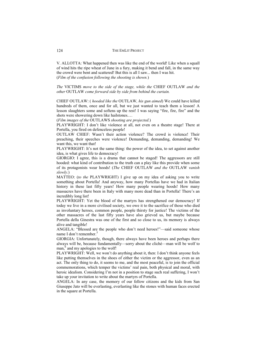V. ALLOTTA: What happened then was like the end of the world! Like when a squall of wind hits the ripe wheat of June in a fury, making it bend and fall, in the same way the crowd were bent and scattered! But this is all I saw... then I was hit. (*Film of the confusion following the shooting is shown.*)

*The* VICTIMS *move to the side of the stage, while the* CHIEF OUTLAW *and the other* OUTLAW *come forward side by side from behind the curtain.* 

CHIEF OUTLAW: ( *hooded like the* OUTLAW*, his gun aimed*) We could have killed hundreds of them, once and for all, but we just wanted to teach them a lesson! A lesson slaughters some and softens up the rest! I was saying "fire, fire, fire" and the shots were showering down like hailstones.…

(*Film images of the* OUTLAWS *shooting are projected.*)

PLAYWRIGHT: I don't like violence at all, not even on a theatre stage! There at Portella, you fired on defenceless people!

OUTLAW CHIEF: Wasn't their action violence? The crowd is violence! Their preaching, their speeches were violence! Demanding, demanding, demanding! We want this, we want that!

PLAYWRIGHT: It's not the same thing: the power of the idea, to set against another idea, is what gives life to democracy!

GIORGIO: I agree, this is a drama that cannot be staged! The aggressors are still hooded: what kind of contribution to the truth can a play like this provide when some of its protagonists wear hoods! (*The* CHIEF OUTLAW *and the* OUTLAW *vanish slowly.*)

MATTEO: (*to the* PLAYWRIGHT) I give up on my idea of asking you to write something about Portella! And anyway, how many Portellas have we had in Italian history in these last fifty years! How many people wearing hoods! How many massacres have there been in Italy with many more dead than in Portella! There's an incredibly long list!

PLAYWRIGHT: Yet the blood of the martyrs has strengthened our democracy! If today we live in a more civilised society, we owe it to the sacrifice of those who died as involuntary heroes, common people, people thirsty for justice! The victims of the other massacres of the last fifty years have also grieved us, but maybe because Portella della Ginestra was one of the first and so close to us, its memory is always alive and tangible!

ANGELA: "Blessed are the people who don't need heroes!"—said someone whose name I don't remember.<sup>5</sup>

GIORGIA: Unfortunately, though, there always have been heroes and perhaps there always will be, because fundamentally—sorry about the cliché—man will be wolf to man, $6$  and my apologies to the wolf!

PLAYWRIGHT: Well, we won't do anything about it, then: I don't think anyone feels like putting themselves in the shoes of either the victim or the aggressor, even as an act. The only thing to do, it seems to me, and the most peaceful, is to join the official commemorations, which temper the victims' real pain, both physical and moral, with heroic idealism. Considering I'm not in a position to stage such real suffering, I won't take up your invitation to write about the martyrs of Portella.

ANGELA: In any case, the memory of our fellow citizens and the kids from San Giuseppe Jato will be everlasting, everlasting like the stones with human faces erected in the square at Portella.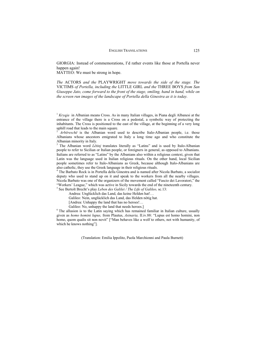GIORGIA: Instead of commemorations, I'd rather events like those at Portella never happen again!

MATTEO: We must be strong in hope.

*The* ACTORS *and the* PLAYWRIGHT *move towards the side of the stage. The*  VICTIMS *of Portella, including the* LITTLE GIRL *and the* THREE BOYS *from San Giuseppe Jato, come forward to the front of the stage, smiling, hand in hand, while on the screen run images of the landscape of Portella della Ginestra as it is today.* 

<sup>1</sup> *Kryqja* in Albanian means Cross. As in many Italian villages, in Piana degli Albanesi at the entrance of the village there is a Cross on a pedestal, a symbolic way of protecting the inhabitants. The Cross is positioned to the east of the village, at the beginning of a very long uphill road that leads to the main square.

<sup>2</sup> *Arbëreschë* is the Albanian word used to describe Italo-Albanian people, i.e. those Albanians whose ancestors emigrated to Italy a long time ago and who constitute the Albanian minority in Italy.

<sup>3</sup> The Albanian word *Lëtinj* translates literally as "Latins" and is used by Italo-Albanian people to refer to Sicilian or Italian people, or foreigners in general, as opposed to Albanians. Italians are referred to as "Latins" by the Albanians also within a religious context, given that Latin was the language used in Italian religious rituals. On the other hand, local Sicilian people sometimes refer to Italo-Albanians as Greek, because although Italo-Albanians are also catholic, they use the Greek language in their religious rituals.

<sup>4</sup> The Barbato Rock is in Portella della Ginestra and is named after Nicola Barbato, a socialist deputy who used to stand up on it and speak to the workers from all the nearby villages. Nicola Barbato was one of the organizers of the movement called "Fascio dei Lavoratori," the "Workers' League," which was active in Sicily towards the end of the nineteenth century.

5 See Bertolt Brecht's play *Leben des Galilei / The Life of Galileo,* sc.13:

Andrea: Unglücklich das Land, das keine Helden hat!…

Galileo: Nein, unglücklich das Land, das Helden nötig hat.

[Andrea: Unhappy the land that has no heroes!…

Galileo: No, unhappy the land that needs heroes.]<br><sup>6</sup> The allusion is to the Latin saying which has remained familiar in Italian culture, usually given as *homo homini lupus,* from Plautus, *Asinaria,* II.iv.88: "Lupus est homo homini, non homo, quom qualis sit non novit" ["Man behaves like a wolf to others, not with humanity, of which he knows nothing"].

(Translation: Emilia Ippolito, Paola Marchionni and Paula Burnett)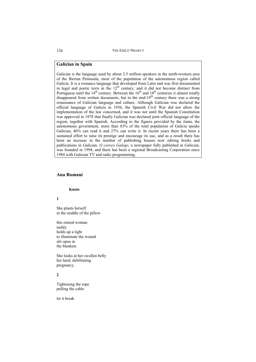# **Galician in Spain**

Galician is the language used by about 2.5 million speakers in the north-western area of the Iberian Peninsula, most of the population of the autonomous region called Galicia. It is a romance language that developed from Latin and was first documented in legal and poetic texts in the  $12<sup>th</sup>$  century, and it did not become distinct from Portuguese until the  $14<sup>th</sup>$  century. Between the  $16<sup>th</sup>$  and  $18<sup>th</sup>$  centuries it almost totally disappeared from written documents, but in the mid-19<sup>th</sup> century there was a strong renaissance of Galician language and culture. Although Galician was declared the official language of Galicia in 1936, the Spanish Civil War did not allow the implementation of the law concerned, and it was not until the Spanish Constitution was approved in 1978 that finally Galician was declared joint official language of the region, together with Spanish. According to the figures provided by the Junta, the autonomous government, more than 83% of the total population of Galicia speaks Galician, 46% can read it and 27% can write it. In recent years there has been a sustained effort to raise its prestige and encourage its use, and as a result there has been an increase in the number of publishing houses now editing books and publications in Galician. *O correo Galego,* a newspaper fully published in Galician, was founded in 1994, and there has been a regional Broadcasting Corporation since 1984 with Galician TV and radio programming.

# **Ana Romaní**

### **Knots**

**1**

She plants herself in the middle of the pillow

this ruined woman rashly holds up a light to illuminate the wound slit open in the blankets

She looks at her swollen belly her hard, debilitating pregnancy.

**2**

Tightening the rope pulling the cable

let it break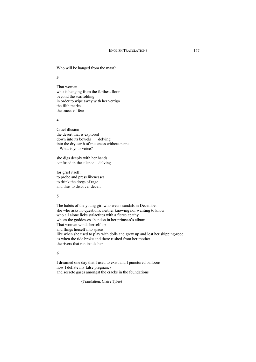Who will be hanged from the mast?

**3**

That woman who is hanging from the furthest floor beyond the scaffolding in order to wipe away with her vertigo the filth marks the traces of fear

#### **4**

Cruel illusion the desert that is explored down into its bowels delving into the dry earth of muteness without name – What is your voice? –

she digs deeply with her hands confused in the silence delving

for grief itself: to probe and press likenesses to drink the dregs of rage and thus to discover deceit

### **5**

The habits of the young girl who wears sandals in December she who asks no questions, neither knowing nor wanting to know who all alone licks stalactites with a fierce apathy whom the goddesses abandon in her princess's album That woman winds herself up and flings herself into space like when she used to play with dolls and grew up and lost her skipping-rope as when the tide broke and there rushed from her mother the rivers that ran inside her

#### **6**

I dreamed one day that I used to exist and I punctured balloons now I deflate my false pregnancy and secrete gases amongst the cracks in the foundations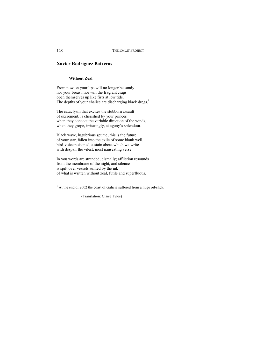# **Xavier Rodríguez Baixeras**

### **Without Zeal**

From now on your lips will no longer be sandy nor your breast, nor will the fragrant crags open themselves up like fists at low tide. The depths of your chalice are discharging black dregs.<sup>1</sup>

The cataclysm that excites the stubborn assault of excrement, is cherished by your princes when they concoct the variable direction of the winds, when they grope, irritatingly, at agony's splendour.

Black wave, lugubrious spume, this is the future of your star, fallen into the exile of some blank well, bird-voice poisoned, a stain about which we write with despair the vilest, most nauseating verse.

In you words are stranded, dismally; affliction resounds from the membrane of the night, and silence is spilt over vessels sullied by the ink of what is written without zeal, futile and superfluous.

<sup>1</sup> At the end of 2002 the coast of Galicia suffered from a huge oil-slick.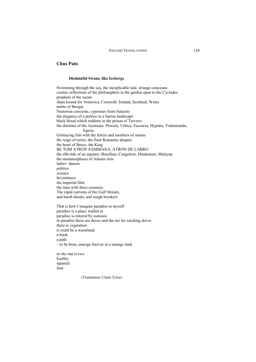# **Chus Pato**

### **Disdainful Swans, like Icebergs**

Swimming through the sea, the inexplicable tide, strange cetaceans cosmic reflections of the philosophers in the garden open to the Cyclades prophets of the ocean ships bound for Armorica, Cornwall, Ireland, Scotland, Wales motto of Burgas Nestorian convents, cypresses from Salustio the elegance of a portico in a barren landscape black blood which reddens in the prison of Treveris the doctrine of the Aeonians: Procule, Urbica, Eucracia, Hypatia, Trahamunda, Egeria. Grimacing fish with the letters and numbers of omens the reign of terror, the final Romantic despair, the heart of Bruce, the King BE TOM ATRON SAMBIANA, ATRON DE LABRO the ebb-tide of an equator: Brazilian, Congolese, Hindustani, Malayan the metamorphosis of Adonis-Atis ladies' dances politics science Investitures the imperial Diet the tiara with three coronets. The rapid currents of the Gulf Stream, and harsh shoals, and rough breakers

That is how I imagine paradise to myself paradise is a place walled in paradise is entered by osmosis in paradise there are doves and the net for catching doves there is vegetation it could be a wasteland a book a path – to be born, emerge forever in a strange land

so the star is two Earthly squared four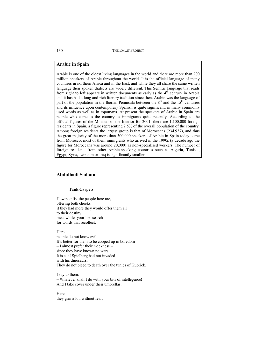## **Arabic in Spain**

Arabic is one of the oldest living languages in the world and there are more than 200 million speakers of Arabic throughout the world. It is the official language of many countries in northern Africa and in the East, and while they all share the same written language their spoken dialects are widely different. This Semitic language that reads from right to left appears in written documents as early as the  $4<sup>th</sup>$  century in Arabia and it has had a long and rich literary tradition since then. Arabic was the language of part of the population in the Iberian Peninsula between the  $8<sup>th</sup>$  and the  $15<sup>th</sup>$  centuries and its influence upon contemporary Spanish is quite significant, in many commonly used words as well as in toponyms. At present the speakers of Arabic in Spain are people who came to the country as immigrants quite recently. According to the official figures of the Minister of the Interior for 2001, there are 1,100,000 foreign residents in Spain, a figure representing 2.5% of the overall population of the country. Among foreign residents the largest group is that of Moroccans (234,937), and thus the great majority of the more than 300,000 speakers of Arabic in Spain today come from Morocco, most of them immigrants who arrived in the 1990s (a decade ago the figure for Moroccans was around 20,000) as non-specialised workers. The number of foreign residents from other Arabic-speaking countries such as Algeria, Tunisia, Egypt, Syria, Lebanon or Iraq is significantly smaller.

# **Abdulhadi Sadoun**

### **Tank Carpets**

How pacifist the people here are, offering both cheeks, if they had more they would offer them all to their destiny; meanwhile, your lips search for words that recollect.

Here people do not know evil. It's better for them to be cooped up in boredom – I almost prefer their meekness – since they have known no wars. It is as if Spielberg had not invaded with his dinosaurs. They do not bleed to death over the tunics of Kubrick.

I say to them: – Whatever shall I do with your bits of intelligence! And I take cover under their umbrellas.

Here they grin a lot, without fear,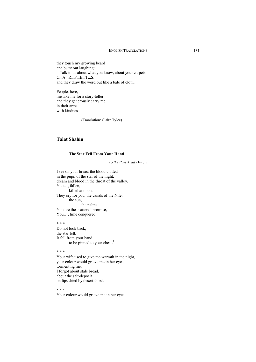they touch my growing beard and burst out laughing: – Talk to us about what you know, about your carpets. C...A...R...P...E...T...S. and they draw the word out like a bale of cloth.

People, here, mistake me for a story-teller and they generously carry me in their arms, with kindness.

(Translation: Claire Tylee)

# **Talat Shahin**

### **The Star Fell From Your Hand**

*To the Poet Amal Dunqul* 

I see on your breast the blood clotted in the pupil of the star of the night, dream and blood in the throat of the valley. You…, fallen, killed at noon. They cry for you, the canals of the Nile, the sun, the palms. You are the scattered promise, You…, time conquered.

\* \* \* Do not look back, the star fell. It fell from your hand, to be pinned to your chest.<sup>1</sup>

\* \* \*

Your wife used to give me warmth in the night, your colour would grieve me in her eyes, tormenting me. I forgot about stale bread, about the salt-deposit on lips dried by desert thirst.

\* \* \*

Your colour would grieve me in her eyes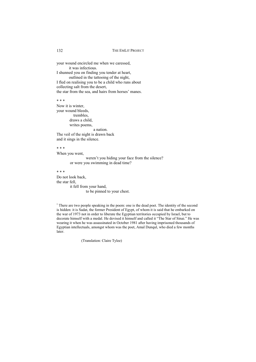your wound encircled me when we caressed, it was infectious. I shunned you on finding you tender at heart, outlined in the tattooing of the night, I fled on realising you to be a child who runs about collecting salt from the desert, the star from the sea, and hairs from horses' manes.

\* \* \*

Now it is winter, your wound bleeds, trembles, draws a child, writes poems, a nation.

The veil of the night is drawn back and it sings in the silence.

\* \* \*

When you went,

weren't you hiding your face from the silence? or were you swimming in dead time?

\* \* \*

Do not look back, the star fell, it fell from your hand, to be pinned to your chest.

<sup>1</sup> There are two people speaking in the poem: one is the dead poet. The identity of the second is hidden: it is Sadat, the former President of Egypt, of whom it is said that he embarked on the war of 1973 not in order to liberate the Egyptian territories occupied by Israel, but to decorate himself with a medal. He devised it himself and called it "The Star of Sinai." He was wearing it when he was assassinated in October 1981 after having imprisoned thousands of Egyptian intellectuals, amongst whom was the poet, Amal Dunqul, who died a few months later.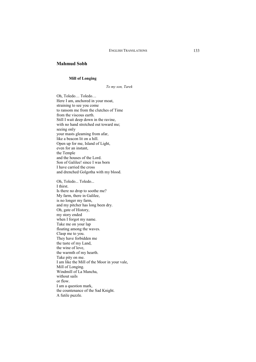### **Mahmud Sobh**

#### **Mill of Longing**

*To my son, Tarek* 

Oh, Toledo… Toledo… Here I am, anchored in your moat, straining to see you come to ransom me from the clutches of Time from the viscous earth. Still I wait deep down in the ravine, with no hand stretched out toward me; seeing only your masts gleaming from afar, like a beacon lit on a hill. Open up for me, Island of Light, even for an instant, the Temple and the houses of the Lord. Son of Galilee! since I was born I have carried the cross and drenched Golgotha with my blood. Oh, Toledo... Toledo... I thirst. Is there no drop to soothe me? My farm, there in Galilee, is no longer my farm, and my pitcher has long been dry. Oh, gate of History, my story ended when I forgot my name. Take me on your lap floating among the waves. Clasp me to you. They have forbidden me the taste of my Land, the wine of love, the warmth of my hearth. Take pity on me. I am like the Mill of the Moor in your vale, Mill of Longing. Windmill of La Mancha, without sails or flow. I am a question mark, the countenance of the Sad Knight. A futile puzzle.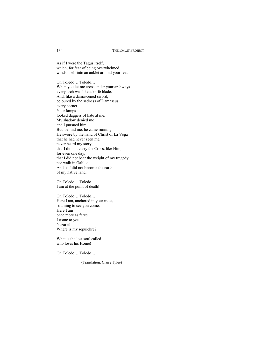As if I were the Tagus itself, which, for fear of being overwhelmed, winds itself into an anklet around your feet.

Oh Toledo… Toledo… When you let me cross under your archways every arch was like a knife blade. And, like a damascened sword, coloured by the sadness of Damascus, every corner. Your lamps looked daggers of hate at me. My shadow denied me and I pursued him. But, behind me, he came running. He swore by the hand of Christ of La Vega that he had never seen me, never heard my story; that I did not carry the Cross, like Him, for even one day; that I did not bear the weight of my tragedy nor walk in Galilee. And so I did not become the earth of my native land.

Oh Toledo… Toledo… I am at the point of death!

Oh Toledo… Toledo… Here I am, anchored in your moat, straining to see you come. Here I am once more as farce. I come to you Nazareth. Where is my sepulchre?

What is the lost soul called who loses his Home!

Oh Toledo… Toledo…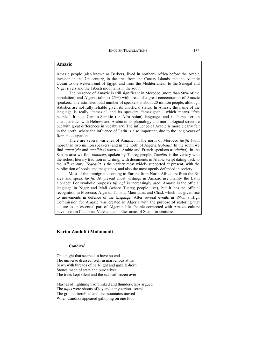### **Amazic**

Amazic people (also known as Berbers) lived in northern Africa before the Arabic invasion in the 7th century, in the area from the Canary Islands and the Atlantic Ocean to the western end of Egypt, and from the Mediterranean to the Senegal and Niger rivers and the Tibesti mountains in the south.

The presence of Amazic is still significant in Morocco (more than 50% of the population) and Algeria (almost 25%) with areas of a great concentration of Amazic speakers. The estimated total number of speakers is about 20 million people, although statistics are not fully reliable given its unofficial status. In Amazic the name of the language is really "tamazic" and its speakers "amazighen," which means "free people." It is a Camito-Semitic (or Afro-Asian) language, and it shares certain characteristics with Hebrew and Arabic in its phonology and morphological structure but with great differences in vocabulary. The influence of Arabic is more clearly felt in the north, where the influence of Latin is also important, due to the long years of Roman occupation.

There are several varieties of Amazic: in the north of Morocco *tarifit* (with more than two million speakers) and in the north of Algeria *teqbailit*. In the south we find *tamazight* and *tacelhit* (known to Arabic and French speakers as *chelha*). In the Sahara area we find *tamaceq*, spoken by Tuareg people. *Tacelhit* is the variety with the richest literary tradition in writing, with documents in Arabic script dating back to the 16<sup>th</sup> century. *Teqbailit* is the variety most widely supported at present, with the publication of books and magazines, and also the most openly defended in society.

Most of the immigrants coming to Europe from North Africa are from the Rif area and speak *tarifit*. At present most writings in Amazic use mainly the Latin alphabet. For symbolic purposes *tifinagh* is increasingly used. Amazic is the official language in Niger and Mali (where Tuareg people live), but it has no official recognition in Morocco, Algeria, Tunisia, Mauritania and Chad, which has given rise to movements in defence of the language. After several events in 1995, a High Commission for Amazic was created in Algeria with the purpose of restoring that culture as an essential part of Algerian life. People connected with Amazic culture have lived in Catalonia, Valencia and other areas of Spain for centuries.

### **Karim Zouhdi i Mahmoudi**

## **Candixa**<sup>1</sup>

On a night that seemed to have no end The universe dressed itself in marvellous attire Sewn with threads of half-light and gazelle-horn Stones made of stars and pure silver The trees kept silent and the sea had frozen over

Flashes of lightning had blinked and thunder-claps argued The *jujus* were shouts of joy and a mysterious sound The ground trembled and the mountains moved When Candixa appeared galloping on one foot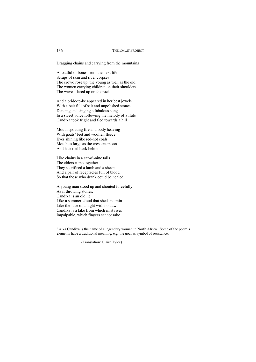Dragging chains and carrying from the mountains

A loadful of bones from the next life Scraps of skin and river corpses The crowd rose up, the young as well as the old The women carrying children on their shoulders The waves flared up on the rocks

And a bride-to-be appeared in her best jewels With a belt full of salt and unpolished stones Dancing and singing a fabulous song In a sweet voice following the melody of a flute Candixa took fright and fled towards a hill

Mouth spouting fire and body heaving With goats' feet and woollen fleece Eyes shining like red-hot coals Mouth as large as the crescent moon And hair tied back behind

Like chains in a cat-o'-nine tails The elders came together They sacrificed a lamb and a sheep And a pair of receptacles full of blood So that those who drank could be healed

A young man stood up and shouted forcefully As if throwing stones: Candixa is an old lie Like a summer-cloud that sheds no rain Like the face of a night with no dawn Candixa is a lake from which mist rises Impalpable, which fingers cannot rake

<sup>1</sup> Aixa Candixa is the name of a legendary woman in North Africa. Some of the poem's elements have a traditional meaning, e.g. the goat as symbol of resistance.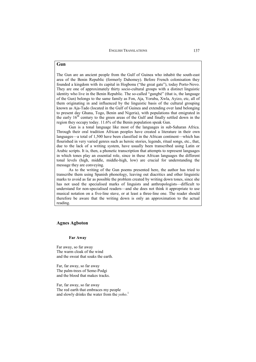### **Gun**

The Gun are an ancient people from the Gulf of Guinea who inhabit the south-east area of the Benin Republic (formerly Dahomey). Before French colonisation they founded a kingdom with its capital in Hogbonu ("the great gate"), today Porto-Novo. They are one of approximately thirty socio-cultural groups with a distinct linguistic identity who live in the Benin Republic. The so-called "gungbé" (that is, the language of the Gun) belongs to the same family as Fon, Aja, Yoruba, Xwla, Ayizo, etc, all of them originating in and influenced by the linguistic basis of the cultural grouping known as Aja-Tado (located in the Gulf of Guinea and extending over land belonging to present day Ghana, Togo, Benin and Nigeria), with populations that emigrated in the early 16<sup>th</sup> century to the green areas of the Gulf and finally settled down in the region they occupy today. 11.6% of the Benin population speak Gun.

Gun is a tonal language like most of the languages in sub-Saharan Africa. Through their oral tradition African peoples have created a literature in their own languages—a total of 1,500 have been classified in the African continent—which has flourished in very varied genres such as heroic stories, legends, ritual songs, etc., that, due to the lack of a writing system, have usually been transcribed using Latin or Arabic scripts. It is, then, a phonetic transcription that attempts to represent languages in which tones play an essential role, since in these African languages the different tonal levels (high, middle, middle-high, low) are crucial for understanding the message they are conveying.

As to the writing of the Gun poems presented here, the author has tried to transcribe them using Spanish phonology, leaving out diacritics and other linguistic marks to avoid as far as possible the problem created by writing down tones, since she has not used the specialised marks of linguists and anthropologists—difficult to understand for non-specialised readers—and she does not think it appropriate to use musical notation on a five-line stave, or at least a three-line one. The reader should therefore be aware that the writing down is only an approximation to the actual reading.

### **Agnes Agboton**

#### **Far Away**

Far away, so far away The warm cloak of the wind and the sweat that soaks the earth.

Far, far away, so far away The palm-trees of Seme-Podgi and the blood that makes tracks.

Far, far away, so far away The red earth that embraces my people and slowly drinks the water from the *yoho*. 1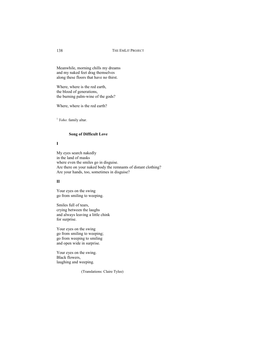Meanwhile, morning chills my dreams and my naked feet drag themselves along these floors that have no thirst.

Where, where is the red earth, the blood of generations, the burning palm-wine of the gods?

Where, where is the red earth?

<sup>1</sup> *Yoho*: family altar.

#### **Song of Difficult Love**

### **I**

My eyes search nakedly in the land of masks where even the smiles go in disguise. Are there on your naked body the remnants of distant clothing? Are your hands, too, sometimes in disguise?

### **II**

Your eyes on the swing go from smiling to weeping.

Smiles full of tears, crying between the laughs and always leaving a little chink for surprise.

Your eyes on the swing go from smiling to weeping; go from weeping to smiling and open wide in surprise.

Your eyes on the swing. Black flowers, laughing and weeping.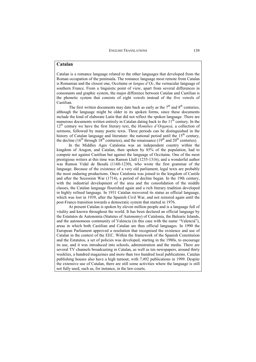## **Catalan**

Catalan is a romance language related to the other languages that developed from the Roman occupation of the peninsula. The romance language most remote from Catalan is Romanian and the closest one, Occitaine or *langue d'Oc*, the vernacular language of southern France. From a linguistic point of view, apart from several differences in consonants and graphic system, the major difference between Catalan and Castilian is the phonetic system that consists of eight vowels instead of the five vowels of Castilian.

The first written documents may date back as early as the  $7<sup>th</sup>$  and  $8<sup>th</sup>$  centuries, although the language might be older in its spoken forms, since these documents include the kind of elaborate Latin that did not reflect the spoken language. There are numerous documents written entirely in Catalan dating back to the  $11<sup>th</sup>$  century. In the  $12<sup>th</sup>$  century we have the first literary text, the *Homilies d'Organyà*, a collection of sermons, followed by many poetic texts. Three periods can be distinguished in the history of Catalan language and literature: the national period until the 15<sup>th</sup> century, the decline (16<sup>th</sup> through 18<sup>th</sup> centuries), and the renaissance (19<sup>th</sup> and 20<sup>th</sup> centuries).

In the Middles Ages Catalonia was an independent country within the kingdom of Aragon, and Catalan, then spoken by 85% of the population, had to compete not against Castilian but against the language of Occitaine. One of the most prestigious writers at this time was Ramon Llull (1235-1316), and a wonderful author was Ramon Vidal de Besalú (1160-1230), who wrote the first grammar of the language. Because of the existence of a very old parliament, legal texts are probably the most enduring productions. Once Catalonia was joined to the kingdom of Castile and after the Secession War (1714), a period of decline began. In the 19th century, with the industrial development of the area and the consolidation of the middle classes, the Catalan language flourished again and a rich literary tradition developed in highly refined language. In 1931 Catalan recovered its status as official language, which was lost in 1939, after the Spanish Civil War, and not restored again until the post-Franco transition towards a democratic system that started in 1976.

At present Catalan is spoken by eleven million people and is a language full of vitality and known throughout the world. It has been declared an official language by the Estatutos de Autonomía (Statutes of Autonomy) of Catalonia, the Balearic Islands, and the autonomous community of Valencia (in this case with the name "Valencià"), areas in which both Castilian and Catalan are thus official languages. In 1990 the European Parliament approved a resolution that recognised the existence and use of Catalan in the context of the EEC. Within the framework of the Spanish Constitution and the Estatutos, a set of policies was developed, starting in the 1980s, to encourage its use, and it was introduced into schools, administration and the media. There are several TV channels broadcasting in Catalan, as well as ten newspapers, around thirty weeklies, a hundred magazines and more than two hundred local publications. Catalan publishing houses also have a high turnout, with 7,492 publications in 1999. Despite the extensive use of Catalan, there are still some activities where the language is still not fully used, such as, for instance, in the law-courts.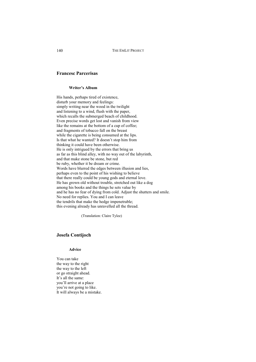## **Francesc Parcerisas**

#### **Writer's Album**

His hands, perhaps tired of existence, disturb your memory and feelings: simply writing near the wood in the twilight and listening to a wind, flush with the paper, which recalls the submerged beach of childhood. Even precise words get lost and vanish from view like the remains at the bottom of a cup of coffee; and fragments of tobacco fall on the breast while the cigarette is being consumed at the lips. Is that what he wanted? It doesn't stop him from thinking it could have been otherwise. He is only intrigued by the errors that bring us as far as this blind alley, with no way out of the labyrinth, and that make stone be stone, but red be ruby, whether it be dream or crime. Words have blurred the edges between illusion and lies, perhaps even to the point of his wishing to believe that there really could be young gods and eternal love. He has grown old without trouble, stretched out like a dog among his books and the things he sets value by and he has no fear of dying from cold. Adjust the shutters and smile. No need for replies. You and I can leave the tendrils that make the hedge impenetrable; this evening already has unravelled all the thread.

(Translation: Claire Tylee)

## **Josefa Contijoch**

### **Advice**

You can take the way to the right the way to the left or go straight ahead. It's all the same: you'll arrive at a place you're not going to like. It will always be a mistake.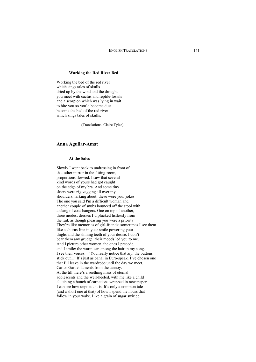## **Working the Red River Bed**

Working the bed of the red river which sings tales of skulls dried up by the wind and the drought you meet with cactus and reptile-fossils and a scorpion which was lying in wait to bite you so you'd become dust become the bed of the red river which sings tales of skulls.

(Translations: Claire Tylee)

## **Anna Aguilar-Amat**

## **At the Sales**

Slowly I went back to undressing in front of that other mirror in the fitting-room, proportions skewed. I saw that several kind words of yours had got caught on the edge of my bra. And some tiny skiers were zig-zagging all over my shoulders, larking about: these were your jokes. The one you said I'm a difficult woman and another couple of snubs bounced off the stool with a clang of coat-hangers. One on top of another, three modest dresses I'd plucked listlessly from the rail, as though pleasing you were a priority. They're like memories of girl-friends: sometimes I see them like a chorus-line in your smile powering your thighs and the shining teeth of your desire. I don't bear them any grudge: their moods led you to me. And I picture other women, the ones I precede, and I smile: the warm ear among the hair in my song. I see their voices... "You really notice that zip, the buttons stick out..." It's just as banal in Euro-speak. I've chosen one that I'll leave in the wardrobe until the day we meet. Carlos Gardel laments from the tannoy. At the till there's a seething mass of eternal adolescents and the well-heeled, with me like a child clutching a bunch of carnations wrapped in newspaper. I can see how unpoetic it is. It's only a common tale (and a short one at that) of how I spend the hours that follow in your wake. Like a grain of sugar swirled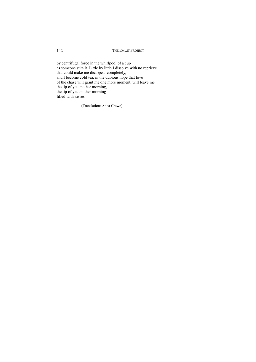by centrifugal force in the whirlpool of a cup as someone stirs it. Little by little I dissolve with no reprieve that could make me disappear completely, and I become cold tea, in the dubious hope that love of the chase will grant me one more moment, will leave me the tip of yet another morning, the tip of yet another morning filled with kisses.

(Translation: Anna Crowe)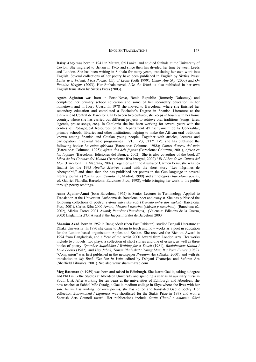**Daisy Abey** was born in 1941 in Matara, Sri Lanka, and studied Sinhala at the University of Ceylon. She migrated to Britain in 1965 and since then has divided her time between Leeds and London. She has been writing in Sinhala for many years, translating her own work into English. Several collections of her poetry have been published in English by Sixties Press: *Letter to a Friend: First Poems, City of Leeds* (both 1999), *Under Any Sky* (2000) and *On Pennine Heights* (2003). Her Sinhala novel, *Like the Wind,* is also published in her own English translation by Sixties Press (2003).

**Agnès Agboton** was born in Porto-Novo, Benin Republic (formerly Dahomey) and completed her primary school education and some of her secondary education in her hometown and in Ivory Coast. In 1978 she moved to Barcelona, where she finished her secondary education and completed a Bachelor's Degree in Spanish Literature at the Universidad Central de Barcelona. In between two cultures, she keeps in touch with her home country, where she has carried out different projects to retrieve oral traditions (songs, tales, legends, praise songs, etc.). In Catalonia she has been working for several years with the centres of Pedagogical Resources of the Departament d'Ensenyament de la Generalitat, primary schools, libraries and other institutions, helping to make the African oral traditions known among Spanish and Catalan young people. Together with articles, lectures and participation in several radio programmes (TVE, TV3, CITY TV), she has published the following books: *La cuina africana* (Barcelona: Columna, 1988); *Contes d'arreu del món* (Barcelona: Columna, 1995); *Àfrica des dels fogons* (Barcelona: Columna, 2001), *África en los fogones* (Barcelona: Ediciones del Bronce, 2002). She is also co-author of the book *El Libro de las Cocinas del Mundo* (Barcelona: Rba Integral, 2002) / *El Llibre de les Cuines del Món* (Barcelona: La Magrana, 2002). Together with the illustrator Carmen Peris, she was cofinalist for the 1995 *Apelles Mestres* award with the short story "Les llàgrimes de Abenyonhù," and since then she has published her poems in the Gun language in several literary journals (*Poesía, por Ejemplo* 11, Madrid, 1999) and anthologies (*Barcelona poesia*, ed. Gabriel Planella, Barcelona: Ediciones Proa, 1998), while bringing her work to the public through poetry readings**.**

**Anna Aguilar-Amat** (born Barcelona, 1962) is Senior Lecturer in Terminology Applied to Translation at the Universitat Autònoma de Barcelona, poet and essayist. She has published the following collections of poetry: *Trànsit entre dos vols* (*Tránsito entre dos vuelos*) (Barcelona: Proa, 2001), Carles Riba 2000 Award; *Música i escorbut* (*Música y escorbuto*), (Barcelona 62: 2002), Màrius Torres 2001 Award; *Petrolier* (*Petrolero*), (Valencia: Edicions de la Guerra, 2003) Englantina d'Or Award at the Juegos Florales de Barcelona 2000.

**Shamim Azad,** born in 1952 in Bangladesh (then East Pakistan), studied Bengali Literature at Dhaka University. In 1990 she came to Britain to teach and now works as a poet in education for the London-based organisation Apples and Snakes. She received the Bichitra Award in 1994 from Bangladesh, and a Year of the Artist 2000 Award from London Arts. Her works include two novels, two plays, a collection of short stories and one of essays, as well as three books of poetry: *Sporsher Aupekhkha / Waiting for a Touch* (1981), *Bhalobashar Kabita / Love Poems* (1982), and *Hey Jubak, Tomar Bhabishat / Young Man, It's Your Future* (1989). "Companion" was first published in the newspaper *Prothom Alo* (Dhaka, 2000), and with its translation in *My Birth Was Not In Vain,* edited by Debjani Chatterjee and Safuran Ara (Sheffield Libraries, 2001). See also www.shamimazad.com

**Meg Bateman** (b.1959) was born and raised in Edinburgh. She learnt Gaelic, taking a degree and PhD in Celtic Studies at Aberdeen University and spending a year as an auxiliary nurse in South Uist. After working for ten years at the universities of Edinburgh and Aberdeen, she now teaches at Sabhal Mòr Ostaig, a Gaelic-medium college in Skye where she lives with her son. As well as writing her own poems, she has edited and translated Gaelic poetry. Her collection *Aotromachd / Lightness* was shortlisted for the Stakis Prize in 1998 and won a Scottish Arts Council award. Her publications include *Òrain Ghaoil / Amhráin Ghrá*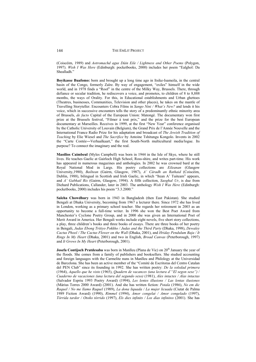(Coiscéim, 1989) and *Aotromachd agus Dàin Eile / Lightness and Other Poems* (Polygon, 1997). *Wish I Was Here* (Edinburgh: pocketbooks, 2000) includes her poem "Ealghol: Da Shealladh."

**Boyikasse Buafomo:** born and brought up a long time ago in Itsike-Isameila, in the central basin of the Congo, formerly Zaïre. By way of engagement, "exiles" himself in the wide world, and in 1978 finds a "Roof" in the centre of the Milky Way, Brussels. There, through defiance or secular tradition, he rediscovers a voice, and promotes, to children of 8 to 8,888 months, the ways of Orality. For this, in Educational establishments and Urban ghettoes (Theatres, businesses, Communities, Television and other places), he takes on the mantle of Travelling Storyteller. Encounters Cobra Films in *Sango Nini / What's New?* and lends it his voice, which in successive encounters tells the story of a predominantly ethnic minority area of Brussels, *de facto* Capital of the European Union: Matongé. The documentary won first prize at the Brussels festival, "Filmer à tout prix," and the prize for the best European documentary at Marseilles. Receives in 1999, at the first "New Year" conference organised by the Catholic University of Louvain (Belgium), the Grand Prix de l'Année Nouvelle and the International France Radio Prize for his adaptation and broadcast of *The Jewish Tradition of Teaching* by Elie Wiesel and *The Sacrifice* by Antoine Tshitungu Kongolo. Invents in 2002 the "Carte Contée-Verhaalkaart," the first South-North multicultural media/logue. Its purpose? To connect the imaginary and the real.

**Maoilios Caimbeul** (Myles Campbell) was born in 1944 in the Isle of Skye, where he still lives. He teaches Gaelic at Gairloch High School, Ross-shire, and writes part-time. His work has appeared in numerous magazines and anthologies. In 2002 he was crowned bard at the Royal National Mod in Largs. His poetry collections are *Eileanan* (Glasgow University,1980), *Bailtean* (Gairm, Glasgow, 1987), *A' Càradh an Rathaid* (Coiscéim, Dublin, 1988), bilingual in Scottish and Irish Gaelic, in which "Itean A' Tuiteam" appears, and *A' Gabhail Ris* (Gairm, Glasgow, 1994). A fifth collection, *Saoghal Ur*, is due from Diehard Publications, Callander, later in 2003. The anthology *Wish I Was Here* (Edinburgh: pocketbooks, 2000) includes his poem "3.3.2000."

**Saleha Chowdhury** was born in 1943 in Bangladesh (then East Pakistan). She studied Bengali at Dhaka University, becoming from 1967 a lecturer there. Since 1972 she has lived in London, working as a primary school teacher. She regards her retirement in 2003 as an opportunity to become a full-time writer. In 1996 she won the Best Poet Award from Manchester's Cyclone Poetry Group, and in 2000 she was given an International Poet of Merit Award in America. Her Bengali works include eight novels, five short story collections, a play, three children's books and three books of essays. There are three books of her poetry in Bengali, *Judas Ebong Tritiyo Pokkho / Judas and the Third Party* (Dhaka, 1998), *Dewaley Cactus Phool / The Cactus Flower on the Wall* (Dhaka, 2001), and *Hriday Pendulum Baja / It Rings In My Heart* (Dhaka, 2001) and two in English, *Broad Canvas* (Peterborough, 1997) and *It Grows In My Heart* (Peterborough, 2001).

**Josefa Contijoch Pratdesaba** was born in Manlleu (Plana de Vic) on 20<sup>th</sup> January the year of the floods. She comes from a family of publishers and booksellers. She studied accounting and foreign languages with the Carmelite nuns in Manlleu and Philology at the Universidad de Barcelona. She has been an active member of the "Comité de Escritoras del Centro Catalan del PEN Club" since its founding in 1992. She has written poetry: *De la soledad primera* (1964), *Aquello que he visto* (1965), *Quadern de vacances (una lectura d'"El segon sexe")* / *Cuaderno de vacaciones (una lectura del segundo sexo)* (1981), *Ales intactes / Alas intactas* (Salvador Espriu 1993 Poetry Award) (1994), *Les lentes illusions / Las lentas ilusiones* (Màrius Torres 2000 Award) (2001). And she has written fiction: *Potala* (1986), *No em dic Raquel / No me llamo Raquel* (1989), *La dona liquada / La mujer licuada* (Ciutat de Palma 1989 Fiction Award) (1990), *Rímmel* (1994), *Amor congelat / Amor congelado* (1997), *Tòrrida tardor / Otoño tórrido* (1997), *Els dies infinits / Los días infinitos* (2001). She has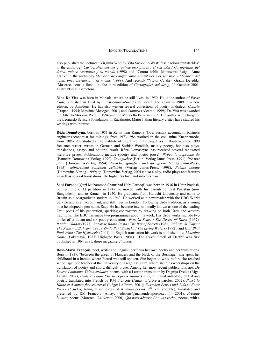also published the lectures "Virginia Woolf - Vita Sackville-West: fascinacions transferides" in the anthology *Cartografies del desig, quinze escriptores i el seu món / Cartografias del deseo, quince escritoras y su mundo* (1998) and "Contra l'oblit: Montserrat Roig - Anne Frank" in the anthology *Memòria de l'aigua, onze escriptores i el seu món / Memoria del agua: once escritoras y su mundo* (1999). And recently "Víctor Català - Grazia Deledda: 'Màscares sota la lluna'" at the third edition of *Cartografies del desig*, 11 October 2001, Teatre l'Espai, Barcelona.

**Nino De Vita** was born in Marsala, where he still lives, in 1950. He is the author of *Fosse Chiti*, published in 1984 by Lunarionuovo-Società di Poesia, and again in 1989 in a new edition, by Amadeus. He has also written several collections of poetry in dialect: *Cutusiu* (Trapani, 1994; Messina: Mesogea, 2001) and *Cuntura* (Alcamo, 1999). De Vita was awarded the Alberto Moravia Prize in 1996 and the Mondello Prize in 2003. The author is in charge of the Leonardo Sciascia foundation, in Racalmuto. Major Italian literary critics have studied his writings with interest.

**Róža Domašcyna**, born in 1951 in Zerna near Kamenz (Oberlausitz), accountant, business engineer (economist for mining), from 1973-1984 worked in the coal mine Knappenrode, from 1985-1989 studied at the Institute of Literature in Leipzig, lives in Bautzen, since 1990 freelance writer, writes in German and Sorbish-Wendish, mainly poetry, but also plays, translations, essays and editorial work. Róža Domašcyna has received several renowned literature prizes. Publications include (poetry and poetic prose): *Wróüo ja doprČdka du* (Bautzen: Domowina-Verlag, 1990), *Zaungucker* (Berlin: Verlag Janus-Press, 1991), *PĜe wšČ páoty* (Domowina-Verlag, 1994), *Zwischen gangbein und springbein* (Verlag Janus-Press, 1995), *selbstredend selbzweit selbdritt* (Verlag Janus-Press, 1998), *Pobate bobate* (Domowina-Verlag, 1999) *sp* (Domowina Verlag, 2001); also a play, radio plays and features as well as several translations into higher Sorbian and into German.

**Saqi Farooqi** (Qazi Muhammad Shamshad Nabi Farooqi) was born in 1936 in Uttar Pradesh, northern India. At partition in 1947 he moved with his parents to East Pakistan (now Bangladesh), and to Karachi in 1950. He graduated from Karachi University and came to Britain as a postgraduate student in 1963. He worked as a newsreader with the BBC World Service and as an accountant, and still lives in London. Following Urdu tradition, as a young poet he adopted a pen name, Saqi. He has become internationally known as one of the leading Urdu poets of his generation, sparking controversy by drawing on both Urdu and western traditions. The BBC has made two programmes about his work. His Urdu works include two books of criticism and six poetry collections: *Pyas ka Sehra / The Desert of Thirst* (1967)*, Raadar / Radar* (1977), *Razon se Bhara Basta / The Bag of Secrets* (1981), *Bahram ki Wapsi / The Return of Bahram* (1985), *Zinda Pani Sachcha / The Living Waters* (1992), and *Haji Bhai Pani-Wala / The Hydrocele* (2001). In English translation his work is published in *A Listening Game* (Lokamaya, 1987; Highgate Poets, 2001). "The Sweet Smell of Death" was first published in 1964 in a Lahore magazine, *Funoon.*

**Rose-Marie François,** poet, writer and linguist, performs her own poetry and her translations. Born in 1939, "between the green of Flanders and the black of the Borinage," she spent her childhood in a hamlet where Picard was still spoken. She began to write before she reached school age. She teaches at the University of Liège, Belgium, where she runs workshops on the translation of poetry and short, difficult prose. Among her most recent publications are: *De Source Lointaine, TƗlƯna strnjlaka,* poems, with a Latvian translation by Dagnija Dreika (Riga: Tapals, 2002); *Pieds nus dans l'herbe, PƺavƗs kailƗm kƗjƗm,* bilingual anthology of Latvian poetry, translated into French by RM François (Amay: L'arbre à paroles, 2002); *Passé la Haine et d'autres fleuves,* novel (Liège: Le Fram, 2001); *Zwischen Petrus und Judas / Entre Pierre et Judas,* bilingual anthology of Austrian poems, 2<sup>nd</sup>. vol. (double), translated and presented by RM François (Amay: <editions@maisondelapoésie.com>, 2001); *Fresque lunaire,* poems (Montreal: Le Noroît, 2000); *Qui nous dépasse / An uns vorbei,* poems, with a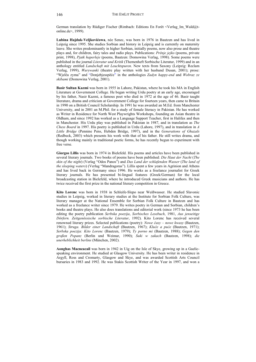German translation by Rüdiger Fischer (Rimbach: Editions En Forêt <Verlag\_Im\_Wald@tonline.de>, 1999).

**Lubina Hajduk-Veljkovićowa**, née Senec, was born in 1976 in Bautzen and has lived in Leipzig since 1995. She studies Sorbian and history in Leipzig and is currently on maternity leave. She writes predominantly in higher Sorbian, initially poems, now also prose and theatre plays and, for children, fairy tales and radio plays. Publications: *Prěnje jejko* (poems, private print, 1998), *Pjatk haperleje* (poems, Bautzen: Domowina Verlag, 1998). Some poems were published in the journal *Literatur und Kritik* (Themenheft Sorbische Literatur, 1999) and in an anthology entitled *Landschaft mit Leuchtspuren*. New texts from Saxony (Leipzig: Reclam Verlag, 1999), *Wurywanki* (theatre play written with her husband Dusan, 2001); prose: "Wjelča zyma" and "Donjebjesspěće" in the anthologies *Zadyn happy-end* and *Wobraz ze skibami* (Domowina Verlag, 2001).

**Basir Sultan Kazmi** was born in 1955 in Lahore, Pakistan, where he took his MA in English Literature at Government College. He began writing Urdu poetry at an early age, encouraged by his father, Nasir Kazmi, a famous poet who died in 1972 at the age of 46. Basir taught literature, drama and criticism at Government College for fourteen years, then came to Britain in 1990 on a British Council Scholarship. In 1991 he was awarded an M.Ed. from Manchester University, and in 2001 an M.Phil. for a study of female literacy in Pakistan. He has worked as Writer in Residence for North West Playwrights Workshops, founding an Asian theatre in Oldham, and since 1992 has worked as a Language Support Teacher, first in Halifax and then in Manchester. His Urdu play was published in Pakistan in 1987, and in translation as *The Chess Board* in 1997. His poetry is published in Urdu (Lahore, 1997), and in translation in *A Little Bridge* (Pennine Pens, Hebden Bridge, 1997), and in the *Generations of Ghazals*  (Redbeck, 2003) which presents his work with that of his father. He still writes drama, and though working mainly in traditional poetic forms, he has recently begun to experiment with free verse.

**Giorgos Lillis** was born in 1974 in Bielefeld. His poems and articles have been published in several literary journals. Two books of poems have been published: *Die Haut der Nacht* (*The skin of the night*) (Verlag "Odos Panos") and *Das Land der schlafenden Wasser* (*The land of the sleeping waters*) (Verlag "Mandragoras"). Lillis spent a few years in Agrinion and Athens and has lived back in Germany since 1996. He works as a freelance journalist for Greek literary journals. He has presented bi-lingual features (Greek/German) for the local broadcasting station in Bielefeld, where he introduced Greek musicians and authors. He has twice received the first prize in the national literary competition in Greece.

**Kito Lorenc** was born in 1938 in Schleife-Slepo near Weißwasser. He studied Slavonic studies in Leipzig, worked in literary studies at the Institute for Sorbian Folk Culture, was literary manager at the National Ensemble for Sorbian Folk Culture in Bautzen and has worked as a freelance writer since 1979. He writes poetry in German and Sorbian, children's books and theatre plays. He also does translations and editorial work (since 1973 he has been editing the poetry publication *Serbska poezija*, *Sorbisches Lesebuch*, 1981, *Aus jenseitige Dörfern. Zeitgenössische sorbische Literatur*, 1992). Kito Lorenc has received several renowned literary prizes. Selected publications (poetry): *Nowe časy – nowe kwasy* (Bautzen, 1961); *Struga. Bilder einer Landschaft* (Bautzen, 1967); *Kluče a puće* (Bautzen, 1971); *Serbska poezija: Kito Lorenc* (Bautzen, 1979); *Ty porno mi* (Bautzen, 1988); *Gegen den großen Popanz* (Berlin und Weimar, 1990); *Suki w zakach* (Bautzen, 1998); *die unerheblichkeit berlins* (München, 2002).

**Aonghas Macneacail** was born in 1942 in Uig on the Isle of Skye, growing up in a Gaelicspeaking environment. He studied at Glasgow University. He has been writer in residence in Argyll, Ross and Cromarty, Glasgow and Skye, and was awarded Scottish Arts Council bursaries in 1983 and 1992. He was Stakis Scottish Writer of the Year in 1997, and won a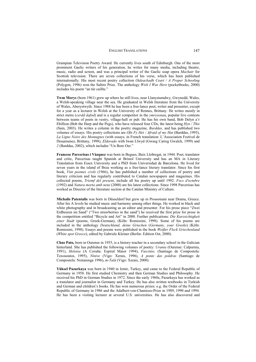Grampian Television Poetry Award. He currently lives south of Edinburgh. One of the most prominent Gaelic writers of his generation, he writes for many media, including theatre, music, radio and screen, and was a principal writer of the Gaelic soap opera *Machair* for Scottish television. There are seven collections of his verse, which has been published internationally. His most recent poetry collection *Oideachadh Ceart / A Proper Schooling*  (Polygon, 1996) won the Saltire Prize. The anthology *Wish I Was Here* (pocketbooks, 2000) includes his poem "an tùr caillte."

**Twm Morys** (born 1961) grew up where he still lives, near Llanystumdwy, Gwynedd, Wales, a Welsh-speaking village near the sea. He graduated in Welsh literature from the University of Wales, Aberystwyth. Since 1988 he has been a free-lance poet, writer and presenter, except for a year as a lecturer in Welsh at the University of Rennes, Brittany. He writes mostly in strict metre (*cerdd dafod*) and is a regular competitor in the *ymrysonau*, popular live contests between teams of poets in vestry, village-hall or pub. He has his own band, Bob Delyn a'r Ebillion (Bob the Harp and the Pegs), who have released four CDs, the latest being *Hyn / This*  (Sain, 2003). He writes a column in the poetry magazine, *Barddas,* and has published two volumes of essays. His poetry collections are *Ofn Fy Het / Afraid of my Hat* (Barddas, 1995), *La Ligne Noire des Montagnes* (with essays, in French translation: L'Association Festival de Douarnenez, Brittany, 1998), *Eldorado* with Iwan Llwyd (Gwasg Carreg Gwalch, 1999) and *2* (Barddas, 2002), which includes "Un Bore Oer."

**Francesc Parcerisas i Vàzquez** was born in Begues, Baix Llobregat, in 1944. Poet, translator and critic, Parcerisas taught Spanish at Bristol University and has an MA in Literary Translation from Essex University and a PhD from Universidad de Barcelona. He lived for seven years in the island of Ibiza working as a free-lance literary translator. Since his first book, *Vint poemes civils* (1966), he has published a number of collections of poetry and literary criticism and has regularly contributed to Catalan newspapers and magazines. His collected poems, *Triomf del present*, include all his poetry up until 1992. *Focs d'octubre*  (1992) and *Natura morta amb nens* (2000) are his latest collections. Since 1998 Parcerisas has worked as Director of the literature section at the Catalan Ministry of Culture.

**Michalis Patentalis** was born in Düsseldorf but grew up in Prossotsani near Drama, Greece. After his A levels he studied music and harmony among other things. He worked in black and white photography and in broadcasting as an editor and presenter. For his prose piece "Zwei Erdbeeren im Sand" ("Two strawberries in the sand") he received the first prize for prose in the competition entitled "Bicycle and Art" in 2000. Further publications: *Die Kurzsichtigkeit einer Stadt* (poems, Greek-German), (Köln: Romiosini, 1998). Some of his poems are included in the anthology *Deutschland, deine Griechen* (*Germany, your Greeks*) (Köln: Romiosini, 1998). Essays and poems were published in the book *Weißer Fleck Griechenland* (*White spot Greece*), edited by Gabriele Kleiner (Berlin: Edition Ost, 2000).

**Chus Pato,** born in Ourense in 1955, is a history teacher in a secondary school in the Galician hinterland. She has published the following volumes of poetry: *Urania* (Ourense: Calpurnia, 1991), *Heloísa* (A Coruña: Espiral Maior 1994), *Fascinio,* (Santiago de Compostela: Toxosoutos, 1995), *Nínive* (Vigo: Xerais, 1996), *A ponte das poldras* (Santiago de Compostela: Noitarenga 1996), *m-Talá* (Vigo: Xerais, 2000).

**Yüksel Pazarkaya** was born in 1940 in Izmir, Turkey, and came to the Federal Republic of Germany in 1958. He first studied Chemistry and then German Studies and Philosophy. He received his PhD in German Studies in 1972. Since the early 1960s, Pazarkaya has worked as a translator and journalist in Germany and Turkey. He has also written textbooks in Turkish and German and children's books. He has won numerous prizes: e.g. the Order of the Federal Republic of Germany in 1986 and the Adalbert-von-Chamisso-Prize in 1989, 1990 and 1994. He has been a visiting lecturer at several U.S. universities. He has also discovered and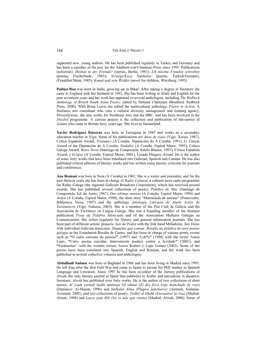supported new, young authors. He has been published regularly in Turkey and Germany and has been a member of the jury for the Adalbert-von-Chamisso-Prize since 1995. Publications (selection): *Heimat in der Fremde?* (stories, Berlin, 1981); *Ich möchte Freuden schreiben* (poems, Fischerhude, 1983); *Irrwege/Koca Sapmalar* (poems, Turkish/German), (Frankfurt/Main, 1985); *Kemal und sein Widder* (novel for children, Würzburg, 1993).

**Padma Rao** was born in India, growing up in Bihar. After taking a degree in literature she came to England with her husband in 1982. She has been writing in Hindi and English for the past seventeen years and her work has appeared in several anthologies, including *The Redbeck Anthology of British South Asian Poetry,* edited by Debjani Chatterjee (Bradford: Redbeck Press, 2000). With Brian Lewis she edited the multicultural anthology, *Poetry in Action*. A freelance arts consultant who runs a cultural diversity management and training agency, Diversitywise, she also works for Northeast Arts and the BBC, and has been involved in the *Decibel* programme. A current project is the collection and publication of life-stories of Asians who came to Britain forty years ago. She lives in Sunderland.

**Xavier Rodríguez Baixeras** was born in Tarragona in 1945 and works as a secondary education teacher in Vigo. Some of his publications are *Anos de viaxe* (Vigo: Xerais, 1987), Crítica Española Award; *Visitantes* (A Coruña: Diputación de A Coruña, 1991), G. Garcés Award of the Diputación de A Coruña; *Nadador* (A Coruña: Espiral Maior, 1995), Crítica Galega Award; *Beira Norte* (Santiago de Compostela: Sotelo Blanco, 1997), Crítica Española Award; y *Eclipse* (A Coruña: Espiral Maior, 2001), Losada Diéguez Award. He is the author of some forty works that have been translated into Galician, Spanish and Catalan. He has also published critical editions of literary works and has written some literary criticism for journals and conferences.

**Ana Romaní** was born in Noia (A Coruña) in 1962. She is a writer and journalist, and for the past thirteen years she has been in charge of *Radio Cultural*, a cultural news radio programme for Radio Galega (the regional Galician Broadcast Corporation), which has received several awards. She has published several collections of poetry, *Palabra de Mar* (Santiago de Compostela: Ed. de Autor, 1987), *Das ultimas mareas* (A Coruña: Espiral Maior, 1994) and *Arden* (A Coruña: Espiral Maior, 1998), the short story "Marmelada de amoras" (Pontevedra: Biblioteca Nova, 1997) and the anthology *Antología Literaria de Antón Aviles de Taramancos* (Vigo: Galaxia, 2003). She is a member of the Pen Club de Galicia and the Asociación de Escritores en Lingua Galega. She was a founding member of the feminist publication *Festa da Palabra Silenciada* and of the Association Mulleres Galegas na Comunicación. She writes regularly for literary and general information journals. She has been part of different artistic projects: *Son da Pedra* with the folk band Milladoiro; *Son Delas* with individual Galician musicians, *Daquelas que cantan: Rosalía na palabra de once poetas galegas* in the Foundation Rosalía de Castro, and has been in charge of various poetic events such as **"**O outro extremo do paraiso**"** (1997) and "Lob\*s**"** (1998) with the writer Anton Lopo, **"**Catro poetas suicidas: Intervención poetica contra a levidade**"** (2001), and **"**Estalactitas" with the women writers Anxos Romeo y Lupe Gomez (2002). Some of her poems have been translated into Spanish, English and Russian, and her work has been published in several collective volumes and anthologies.

**Abdulhadi Sadoun** was born in Baghdad in 1968 and has been living in Madrid since 1993. He left Iraq after the first Gulf War and came to Spain to pursue his PhD studies in Spanish Language and Literature. Since 1997 he has been co-editor of the literary publications of *Alwah*, the only literary journal in Spain that publishes in Arabic and specializes in diasporic literature. *Alwah* has published over forty works. He is the author of two collections of short stories, *Al yaum yartadi badla mulataja bil ahmar* (*El día lleva traje manchado de rojo*) (Damasco: Al-Majim, 1996) and *Intihalat Ailaa (Plagios familiares)* (Amman, Jordania: Azimnah, 2002), and two collections of poetry, *Tadhir al Dhihk (Encuadrar la risa)* (Madrid: Alwah, 1998) and *Laysa syua Rih (No es más que viento)* (Madrid: Alwah, 2000). Some of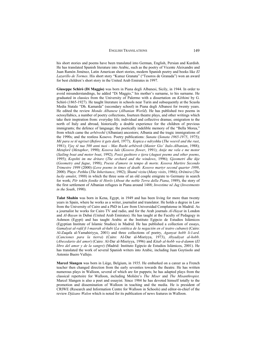his short stories and poems have been translated into German, English, Persian and Kurdish. He has translated Spanish literature into Arabic, such as the poetry of Vicente Aleixandre and Juan Ramón Jiménez, Latin American short stories, modern Spanish poetry and books like *El Lazarillo de Tormes*. His short story "Kunuz Granata" ("Tesoros de Granada") won an award for best children's short story in the United Arab Emirates in 1997.

**Giuseppe Schirò (Di Maggio)** was born in Piana degli Albanesi, Sicily, in 1944. In order to avoid misunderstandings, he added "Di Maggio," his mother's surname, to his surname. He graduated in classics from the University of Palermo with a dissertation on *Këthimi* by G. Schirò (1865-1927). He taught literature in schools near Turin and subsequently at the Scuola Media Statale "Dh. Kamarda" (secondary school) in Piana degli Albanesi for twenty years. He edited the review *Mondo Albanese* (*Albanian World*). He has published two poems in octosyllabics, a number of poetry collections, fourteen theatre plays, and other writings which take their inspiration from: everyday life; individual and collective dramas; emigration to the north of Italy and abroad, historically a double experience for the children of previous immigrants; the defence of language; the poetically indelible memory of the "Bella Morea," from which came the *arbëreshë* (Albanian) ancestors; Albania and the tragic immigrations of the 1990s; and the restless Kosovo. Poetry publications: *Sunata* (*Sonata 1965-1975*, 1975); *Më para se të ngriset* (*Before it gets dark*, 1977); *Kopica e ndryshku* (*The weevil and the rust*, 1981); *Vjeç të tua 500 anni tuoi - Mas Rushi arbëresh* (*Master Gio' Italo-Albanian*, 1988); *Metaforë* (*Metaphor*, 1990); *Kosova lule* (*Kosovo flower*, 1991); *Anije me vela e me motor* (*Sailing boat and motor boat*, 1992); *Poezi gushtore e tjera* (*August poems and other poems*, 1995); *Kopshti im me dritare* (*The orchard and the windows*, 1996); *Gjeometri dhe ikje* (*Geometry and fugue*, 1998); *Poesie d'amore in tempo di morte. Kosova Martire Secondo Trimestre 1999* (2000) (*Love poems in times of death: Kosovo martyr second quarter 1999*, 2000). Plays: *Pethku* (*The Inheritance*, 1982); *Shumë vizita* (*Many visits*, 1986); *Orëmira* (*The lucky amulet*, 1988) in which the three sons of an old couple emigrate to Germany in search for work; *Për tokën fisnike të Horës* (*About the noble Terra della Piana*, 1989), the story of the first settlement of Albanian refugees in Piana around 1488; *Investime në Jug* (*Investments in the South*, 1990).

**Talat Shahin** was born in Kena, Egypt, in 1949 and has been living for more than twenty years in Spain, where he works as a writer, journalist and translator. He holds a degree in Law from the University of Cairo and a PhD in Law from Universidad Complutense in Madrid. As a journalist he works for Cairo TV and radio, and for the Arab journals *Al-Hayat* in London and *Al-Bayan* in Dubai (United Arab Emirates). He has taught at the Faculty of Pedagogy in Ashmon (Egypt) and has taught Arabic at the Instituto Egipcio de Estudios Islámicos (Egyptian Institute of Islamic Studies) in Madrid. He has published a collection of essays, *Gamalyat al-rafd fi l-masrah al-kubi* (*La estética de la negación en el teatro cubano*) (Cairo: Al-Zaqafa al-Yamahiriyya, 2001) and three collections of poetry, *Aganyat hobb li-l-ard*. (*Canciones para la tierra*) (Cairo: Al-Dar al-Misriyya, 1973), *Abyadiyat al-hobb*. (*Abecedario del amor*) (Cairo: Al-Dar al-Misriyya, 1996) and *Kitab al-hobb wa-d-damm* (*El libro del amor y de la sangre*) (Madrid: Instituto Egipcio de Estudios Islámicos, 2001). He has translated the work of several Spanish writers into Arabic, including Juan Goytisolo and Antonio Buero Vallejo.

**Marcel Slangen** was born in Liège, Belgium, in 1935. He embarked on a career as a French teacher then changed direction from the early seventies towards the theatre. He has written numerous plays in Walloon, several of which are for puppets; he has adapted plays from the classical repertoire for Walloon, including Molière's *The Miser* and *The Misanthropist.* Marcel Slangen is also a poet and essayist. Since 1984 he has devoted himself totally to the promotion and dissemination of Walloon in teaching and the media. He is president of CRIWE (Research and Information Centre for Walloon in Schools) and editor-in-chief of the review *Djåzans Walon* which is noted for its publication of news features in Walloon.